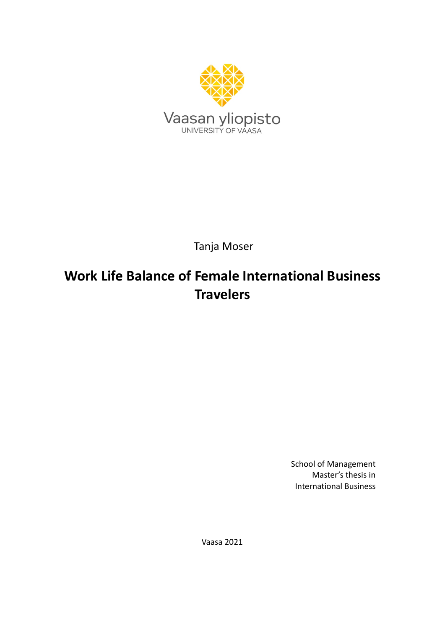

Tanja Moser

# **Work Life Balance of Female International Business Travelers**

School of Management Master's thesis in International Business

Vaasa 2021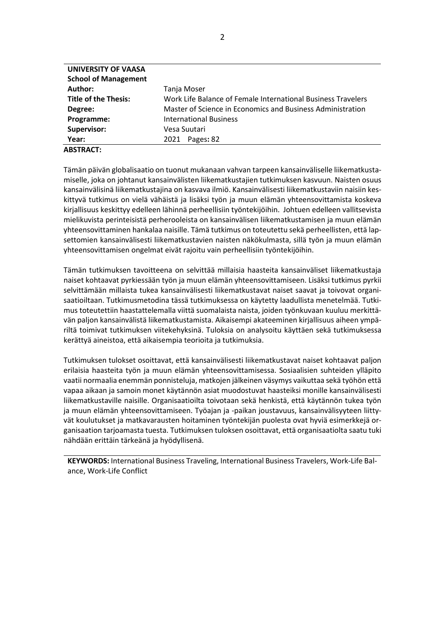| UNIVERSITY OF VAASA         |                                                              |
|-----------------------------|--------------------------------------------------------------|
| <b>School of Management</b> |                                                              |
| Author:                     | Tanja Moser                                                  |
| <b>Title of the Thesis:</b> | Work Life Balance of Female International Business Travelers |
| Degree:                     | Master of Science in Economics and Business Administration   |
| Programme:                  | <b>International Business</b>                                |
| Supervisor:                 | Vesa Suutari                                                 |
| Year:                       | Pages: 82<br>2021                                            |
| ********                    |                                                              |

**ABSTRACT:** 

Tämän päivän globalisaatio on tuonut mukanaan vahvan tarpeen kansainväliselle liikematkustamiselle, joka on johtanut kansainvälisten liikematkustajien tutkimuksen kasvuun. Naisten osuus kansainvälisinä liikematkustajina on kasvava ilmiö. Kansainvälisesti liikematkustaviin naisiin keskittyvä tutkimus on vielä vähäistä ja lisäksi työn ja muun elämän yhteensovittamista koskeva kirjallisuus keskittyy edelleen lähinnä perheellisiin työntekijöihin. Johtuen edelleen vallitsevista mielikuvista perinteisistä perherooleista on kansainvälisen liikematkustamisen ja muun elämän yhteensovittaminen hankalaa naisille. Tämä tutkimus on toteutettu sekä perheellisten, että lapsettomien kansainvälisesti liikematkustavien naisten näkökulmasta, sillä työn ja muun elämän yhteensovittamisen ongelmat eivät rajoitu vain perheellisiin työntekijöihin.

Tämän tutkimuksen tavoitteena on selvittää millaisia haasteita kansainväliset liikematkustaja naiset kohtaavat pyrkiessään työn ja muun elämän yhteensovittamiseen. Lisäksi tutkimus pyrkii selvittämään millaista tukea kansainvälisesti liikematkustavat naiset saavat ja toivovat organisaatioiltaan. Tutkimusmetodina tässä tutkimuksessa on käytetty laadullista menetelmää. Tutkimus toteutettiin haastattelemalla viittä suomalaista naista, joiden työnkuvaan kuuluu merkittävän paljon kansainvälistä liikematkustamista. Aikaisempi akateeminen kirjallisuus aiheen ympäriltä toimivat tutkimuksen viitekehyksinä. Tuloksia on analysoitu käyttäen sekä tutkimuksessa kerättyä aineistoa, että aikaisempia teorioita ja tutkimuksia.

Tutkimuksen tulokset osoittavat, että kansainvälisesti liikematkustavat naiset kohtaavat paljon erilaisia haasteita työn ja muun elämän yhteensovittamisessa. Sosiaalisien suhteiden ylläpito vaatii normaalia enemmän ponnisteluja, matkojen jälkeinen väsymys vaikuttaa sekä työhön että vapaa aikaan ja samoin monet käytännön asiat muodostuvat haasteiksi monille kansainvälisesti liikematkustaville naisille. Organisaatioilta toivotaan sekä henkistä, että käytännön tukea työn ja muun elämän yhteensovittamiseen. Työajan ja -paikan joustavuus, kansainvälisyyteen liittyvät koulutukset ja matkavarausten hoitaminen työntekijän puolesta ovat hyviä esimerkkejä organisaation tarjoamasta tuesta. Tutkimuksen tuloksen osoittavat, että organisaatiolta saatu tuki nähdään erittäin tärkeänä ja hyödyllisenä.

**KEYWORDS:** International Business Traveling, International Business Travelers, Work-Life Balance, Work-Life Conflict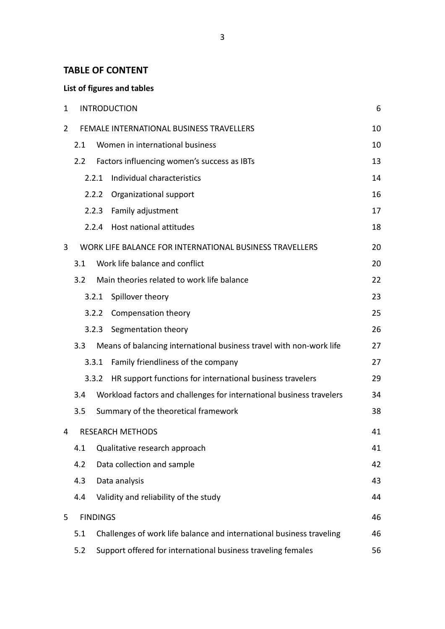## **TABLE OF CONTENT**

## **List of figures and tables**

| 1 |                 |       | <b>INTRODUCTION</b>                                                  | 6  |
|---|-----------------|-------|----------------------------------------------------------------------|----|
| 2 |                 |       | FEMALE INTERNATIONAL BUSINESS TRAVELLERS                             | 10 |
|   | 2.1             |       | Women in international business                                      | 10 |
|   | 2.2             |       | Factors influencing women's success as IBTs                          | 13 |
|   |                 | 2.2.1 | Individual characteristics                                           | 14 |
|   |                 | 2.2.2 | Organizational support                                               | 16 |
|   |                 | 2.2.3 | Family adjustment                                                    | 17 |
|   |                 | 2.2.4 | Host national attitudes                                              | 18 |
| 3 |                 |       | WORK LIFE BALANCE FOR INTERNATIONAL BUSINESS TRAVELLERS              | 20 |
|   | 3.1             |       | Work life balance and conflict                                       | 20 |
|   | 3.2             |       | Main theories related to work life balance                           | 22 |
|   |                 | 3.2.1 | Spillover theory                                                     | 23 |
|   |                 | 3.2.2 | Compensation theory                                                  | 25 |
|   |                 | 3.2.3 | Segmentation theory                                                  | 26 |
|   | 3.3             |       | Means of balancing international business travel with non-work life  | 27 |
|   |                 | 3.3.1 | Family friendliness of the company                                   | 27 |
|   |                 | 3.3.2 | HR support functions for international business travelers            | 29 |
|   | 3.4             |       | Workload factors and challenges for international business travelers | 34 |
|   | 3.5             |       | Summary of the theoretical framework                                 | 38 |
| 4 |                 |       | <b>RESEARCH METHODS</b>                                              | 41 |
|   | 4.1             |       | Qualitative research approach                                        | 41 |
|   | 4.2             |       | Data collection and sample                                           | 42 |
|   | 4.3             |       | Data analysis                                                        | 43 |
|   | 4.4             |       | Validity and reliability of the study                                | 44 |
| 5 | <b>FINDINGS</b> |       |                                                                      | 46 |
|   | 5.1             |       | Challenges of work life balance and international business traveling | 46 |
|   | 5.2             |       | Support offered for international business traveling females         | 56 |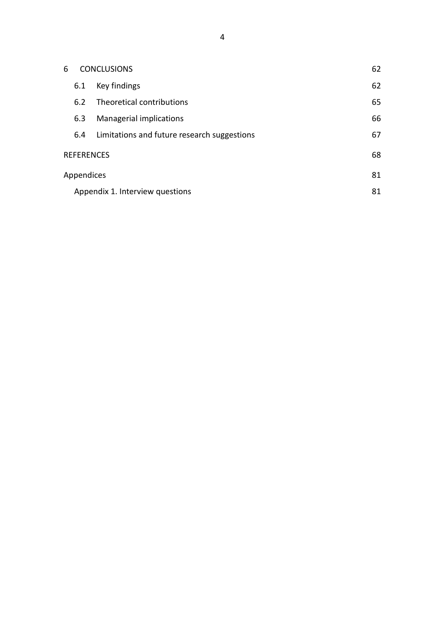|                   | 6<br><b>CONCLUSIONS</b> |     |                                             | 62 |
|-------------------|-------------------------|-----|---------------------------------------------|----|
|                   |                         | 6.1 | Key findings                                | 62 |
|                   |                         | 6.2 | Theoretical contributions                   | 65 |
|                   |                         | 6.3 | Managerial implications                     | 66 |
|                   |                         | 6.4 | Limitations and future research suggestions | 67 |
| <b>REFERENCES</b> |                         |     | 68                                          |    |
| Appendices        |                         |     | 81                                          |    |
|                   |                         |     | Appendix 1. Interview questions             | 81 |
|                   |                         |     |                                             |    |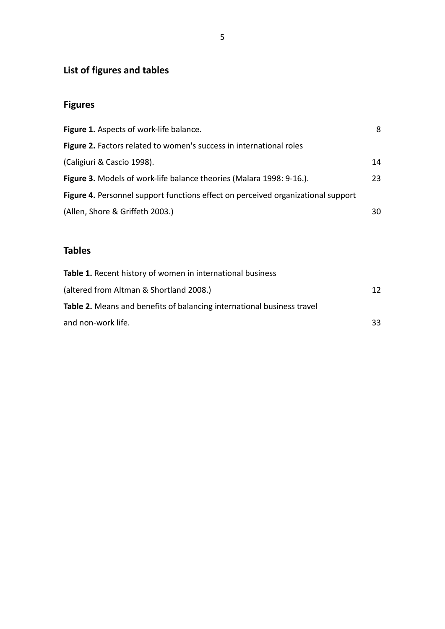## **List of figures and tables**

## **Figures**

| Figure 1. Aspects of work-life balance.                                          | 8  |
|----------------------------------------------------------------------------------|----|
| Figure 2. Factors related to women's success in international roles              |    |
| (Caligiuri & Cascio 1998).                                                       | 14 |
| Figure 3. Models of work-life balance theories (Malara 1998: 9-16.).             | 23 |
| Figure 4. Personnel support functions effect on perceived organizational support |    |
| (Allen, Shore & Griffeth 2003.)                                                  | 30 |

## **Tables**

| Table 1. Recent history of women in international business                    |    |
|-------------------------------------------------------------------------------|----|
| (altered from Altman & Shortland 2008.)                                       | 12 |
| <b>Table 2.</b> Means and benefits of balancing international business travel |    |
| and non-work life.                                                            | 33 |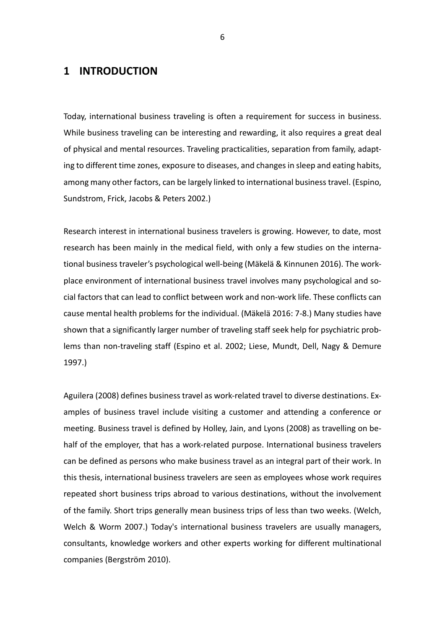## <span id="page-5-0"></span>**1 INTRODUCTION**

Today, international business traveling is often a requirement for success in business. While business traveling can be interesting and rewarding, it also requires a great deal of physical and mental resources. Traveling practicalities, separation from family, adapting to different time zones, exposure to diseases, and changes in sleep and eating habits, among many other factors, can be largely linked to international business travel. (Espino, Sundstrom, Frick, Jacobs & Peters 2002.)

Research interest in international business travelers is growing. However, to date, most research has been mainly in the medical field, with only a few studies on the international business traveler's psychological well-being (Mäkelä & Kinnunen 2016). The workplace environment of international business travel involves many psychological and social factors that can lead to conflict between work and non-work life. These conflicts can cause mental health problems for the individual. (Mäkelä 2016: 7-8.) Many studies have shown that a significantly larger number of traveling staff seek help for psychiatric problems than non-traveling staff (Espino et al. 2002; Liese, Mundt, Dell, Nagy & Demure 1997.)

Aguilera (2008) defines business travel as work-related travel to diverse destinations. Examples of business travel include visiting a customer and attending a conference or meeting. Business travel is defined by Holley, Jain, and Lyons (2008) as travelling on behalf of the employer, that has a work-related purpose. International business travelers can be defined as persons who make business travel as an integral part of their work. In this thesis, international business travelers are seen as employees whose work requires repeated short business trips abroad to various destinations, without the involvement of the family. Short trips generally mean business trips of less than two weeks. (Welch, Welch & Worm 2007.) Today's international business travelers are usually managers, consultants, knowledge workers and other experts working for different multinational companies (Bergström 2010).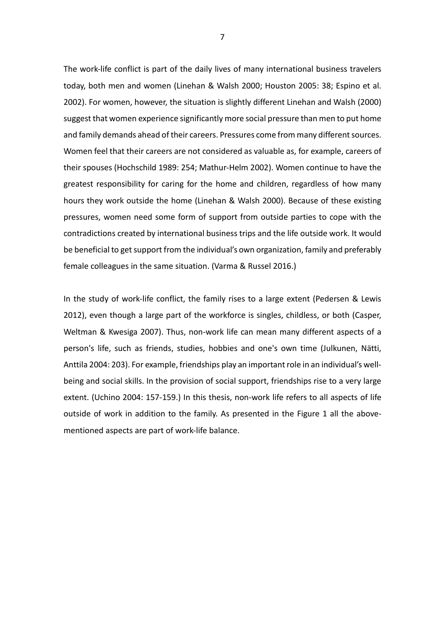The work-life conflict is part of the daily lives of many international business travelers today, both men and women (Linehan & Walsh 2000; Houston 2005: 38; Espino et al. 2002). For women, however, the situation is slightly different Linehan and Walsh (2000) suggest that women experience significantly more social pressure than men to put home and family demands ahead of their careers. Pressures come from many different sources. Women feel that their careers are not considered as valuable as, for example, careers of their spouses (Hochschild 1989: 254; Mathur-Helm 2002). Women continue to have the greatest responsibility for caring for the home and children, regardless of how many hours they work outside the home (Linehan & Walsh 2000). Because of these existing pressures, women need some form of support from outside parties to cope with the contradictions created by international business trips and the life outside work. It would be beneficial to get support from the individual's own organization, family and preferably female colleagues in the same situation. (Varma & Russel 2016.)

In the study of work-life conflict, the family rises to a large extent (Pedersen & Lewis 2012), even though a large part of the workforce is singles, childless, or both (Casper, Weltman & Kwesiga 2007). Thus, non-work life can mean many different aspects of a person's life, such as friends, studies, hobbies and one's own time (Julkunen, Nätti, Anttila 2004: 203). For example, friendships play an important role in an individual's wellbeing and social skills. In the provision of social support, friendships rise to a very large extent. (Uchino 2004: 157-159.) In this thesis, non-work life refers to all aspects of life outside of work in addition to the family. As presented in the Figure 1 all the abovementioned aspects are part of work-life balance.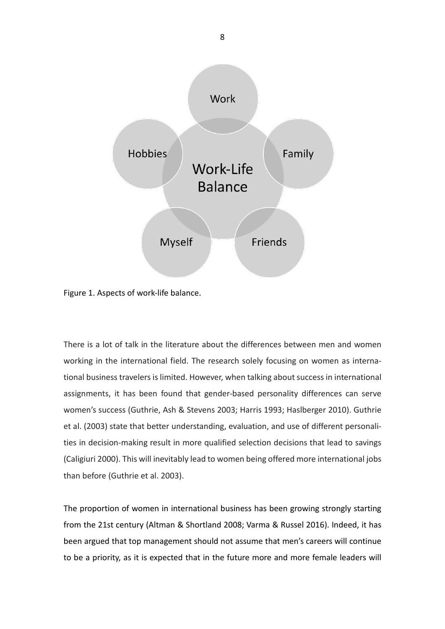

<span id="page-7-0"></span>Figure 1. Aspects of work-life balance.

There is a lot of talk in the literature about the differences between men and women working in the international field. The research solely focusing on women as international business travelers is limited. However, when talking about success in international assignments, it has been found that gender-based personality differences can serve women's success (Guthrie, Ash & Stevens 2003; Harris 1993; Haslberger 2010). Guthrie et al. (2003) state that better understanding, evaluation, and use of different personalities in decision-making result in more qualified selection decisions that lead to savings (Caligiuri 2000). This will inevitably lead to women being offered more international jobs than before (Guthrie et al. 2003).

The proportion of women in international business has been growing strongly starting from the 21st century (Altman & Shortland 2008; Varma & Russel 2016). Indeed, it has been argued that top management should not assume that men's careers will continue to be a priority, as it is expected that in the future more and more female leaders will

8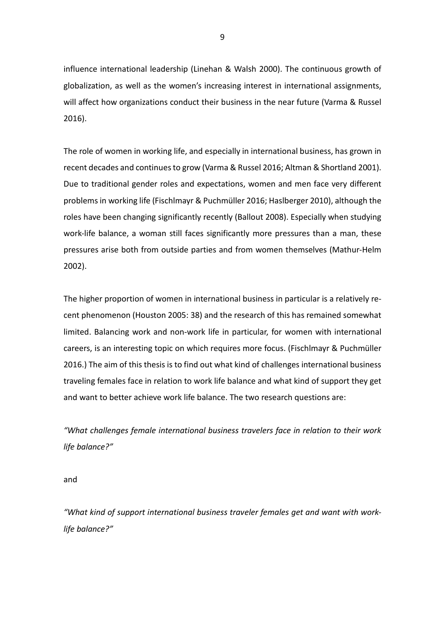influence international leadership (Linehan & Walsh 2000). The continuous growth of globalization, as well as the women's increasing interest in international assignments, will affect how organizations conduct their business in the near future (Varma & Russel 2016).

The role of women in working life, and especially in international business, has grown in recent decades and continues to grow (Varma & Russel 2016; Altman & Shortland 2001). Due to traditional gender roles and expectations, women and men face very different problems in working life (Fischlmayr & Puchmüller 2016; Haslberger 2010), although the roles have been changing significantly recently (Ballout 2008). Especially when studying work-life balance, a woman still faces significantly more pressures than a man, these pressures arise both from outside parties and from women themselves (Mathur-Helm 2002).

The higher proportion of women in international business in particular is a relatively recent phenomenon (Houston 2005: 38) and the research of this has remained somewhat limited. Balancing work and non-work life in particular, for women with international careers, is an interesting topic on which requires more focus. (Fischlmayr & Puchmüller 2016.) The aim of this thesis is to find out what kind of challenges international business traveling females face in relation to work life balance and what kind of support they get and want to better achieve work life balance. The two research questions are:

*"What challenges female international business travelers face in relation to their work life balance?"*

and

*"What kind of support international business traveler females get and want with worklife balance?"*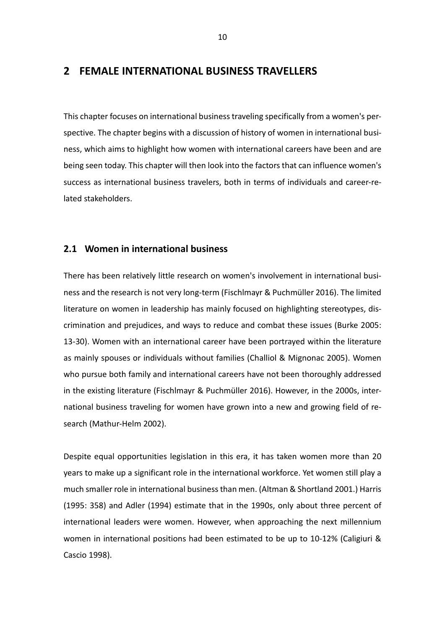## <span id="page-9-0"></span>**2 FEMALE INTERNATIONAL BUSINESS TRAVELLERS**

This chapter focuses on international business traveling specifically from a women's perspective. The chapter begins with a discussion of history of women in international business, which aims to highlight how women with international careers have been and are being seen today. This chapter will then look into the factors that can influence women's success as international business travelers, both in terms of individuals and career-related stakeholders.

#### <span id="page-9-1"></span>**2.1 Women in international business**

There has been relatively little research on women's involvement in international business and the research is not very long-term (Fischlmayr & Puchmüller 2016). The limited literature on women in leadership has mainly focused on highlighting stereotypes, discrimination and prejudices, and ways to reduce and combat these issues (Burke 2005: 13-30). Women with an international career have been portrayed within the literature as mainly spouses or individuals without families (Challiol & Mignonac 2005). Women who pursue both family and international careers have not been thoroughly addressed in the existing literature (Fischlmayr & Puchmüller 2016). However, in the 2000s, international business traveling for women have grown into a new and growing field of research (Mathur-Helm 2002).

Despite equal opportunities legislation in this era, it has taken women more than 20 years to make up a significant role in the international workforce. Yet women still play a much smaller role in international business than men. (Altman & Shortland 2001.) Harris (1995: 358) and Adler (1994) estimate that in the 1990s, only about three percent of international leaders were women. However, when approaching the next millennium women in international positions had been estimated to be up to 10-12% (Caligiuri & Cascio 1998).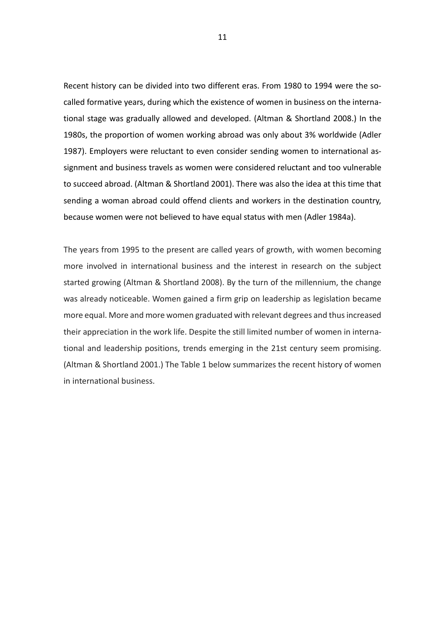Recent history can be divided into two different eras. From 1980 to 1994 were the socalled formative years, during which the existence of women in business on the international stage was gradually allowed and developed. (Altman & Shortland 2008.) In the 1980s, the proportion of women working abroad was only about 3% worldwide (Adler 1987). Employers were reluctant to even consider sending women to international assignment and business travels as women were considered reluctant and too vulnerable to succeed abroad. (Altman & Shortland 2001). There was also the idea at this time that sending a woman abroad could offend clients and workers in the destination country, because women were not believed to have equal status with men (Adler 1984a).

The years from 1995 to the present are called years of growth, with women becoming more involved in international business and the interest in research on the subject started growing (Altman & Shortland 2008). By the turn of the millennium, the change was already noticeable. Women gained a firm grip on leadership as legislation became more equal. More and more women graduated with relevant degrees and thus increased their appreciation in the work life. Despite the still limited number of women in international and leadership positions, trends emerging in the 21st century seem promising. (Altman & Shortland 2001.) The Table 1 below summarizes the recent history of women in international business.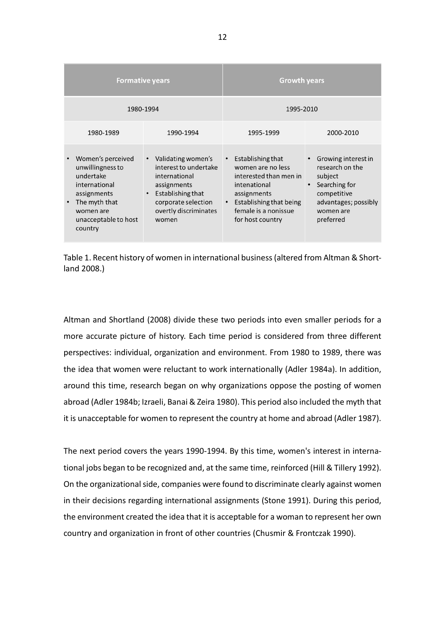|                                                                                                                                                     | <b>Formative years</b>                                                                                                                                                              | <b>Growth years</b>                                                                                                                                                                              |                                                                                                                                     |  |
|-----------------------------------------------------------------------------------------------------------------------------------------------------|-------------------------------------------------------------------------------------------------------------------------------------------------------------------------------------|--------------------------------------------------------------------------------------------------------------------------------------------------------------------------------------------------|-------------------------------------------------------------------------------------------------------------------------------------|--|
| 1980-1994                                                                                                                                           |                                                                                                                                                                                     | 1995-2010                                                                                                                                                                                        |                                                                                                                                     |  |
| 1980-1989                                                                                                                                           | 1990-1994                                                                                                                                                                           | 1995-1999                                                                                                                                                                                        | 2000-2010                                                                                                                           |  |
| Women's perceived<br>unwillingness to<br>undertake<br>international<br>assignments<br>The myth that<br>women are<br>unacceptable to host<br>country | Validating women's<br>$\bullet$<br>interest to undertake<br>international<br>assignments<br>Establishing that<br>$\bullet$<br>corporate selection<br>overtly discriminates<br>women | Establishing that<br>$\bullet$<br>women are no less<br>interested than men in<br>intenational<br>assignments<br>Establishing that being<br>$\bullet$<br>female is a nonissue<br>for host country | Growing interest in<br>research on the<br>subject<br>Searching for<br>competitive<br>advantages; possibly<br>women are<br>preferred |  |

<span id="page-11-0"></span>Table 1. Recent history of women in international business (altered from Altman & Shortland 2008.)

Altman and Shortland (2008) divide these two periods into even smaller periods for a more accurate picture of history. Each time period is considered from three different perspectives: individual, organization and environment. From 1980 to 1989, there was the idea that women were reluctant to work internationally (Adler 1984a). In addition, around this time, research began on why organizations oppose the posting of women abroad (Adler 1984b; Izraeli, Banai & Zeira 1980). This period also included the myth that it is unacceptable for women to represent the country at home and abroad (Adler 1987).

The next period covers the years 1990-1994. By this time, women's interest in international jobs began to be recognized and, at the same time, reinforced (Hill & Tillery 1992). On the organizational side, companies were found to discriminate clearly against women in their decisions regarding international assignments (Stone 1991). During this period, the environment created the idea that it is acceptable for a woman to represent her own country and organization in front of other countries (Chusmir & Frontczak 1990).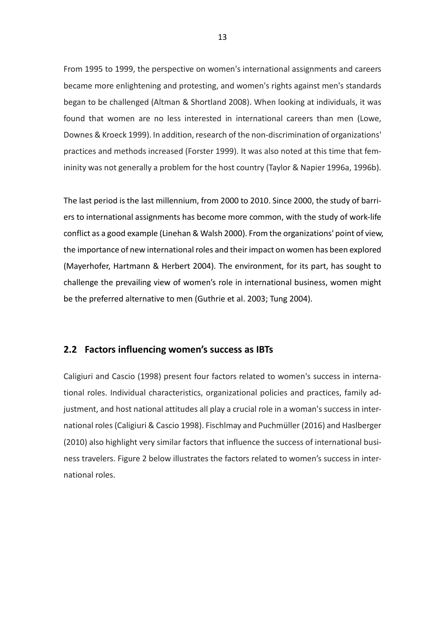From 1995 to 1999, the perspective on women's international assignments and careers became more enlightening and protesting, and women's rights against men's standards began to be challenged (Altman & Shortland 2008). When looking at individuals, it was found that women are no less interested in international careers than men (Lowe, Downes & Kroeck 1999). In addition, research of the non-discrimination of organizations' practices and methods increased (Forster 1999). It was also noted at this time that femininity was not generally a problem for the host country (Taylor & Napier 1996a, 1996b).

The last period is the last millennium, from 2000 to 2010. Since 2000, the study of barriers to international assignments has become more common, with the study of work-life conflict as a good example (Linehan & Walsh 2000). From the organizations' point of view, the importance of new international roles and their impact on women has been explored (Mayerhofer, Hartmann & Herbert 2004). The environment, for its part, has sought to challenge the prevailing view of women's role in international business, women might be the preferred alternative to men (Guthrie et al. 2003; Tung 2004).

### <span id="page-12-0"></span>**2.2 Factors influencing women's success as IBTs**

Caligiuri and Cascio (1998) present four factors related to women's success in international roles. Individual characteristics, organizational policies and practices, family adjustment, and host national attitudes all play a crucial role in a woman's success in international roles (Caligiuri & Cascio 1998). Fischlmay and Puchmüller (2016) and Haslberger (2010) also highlight very similar factors that influence the success of international business travelers. Figure 2 below illustrates the factors related to women's success in international roles.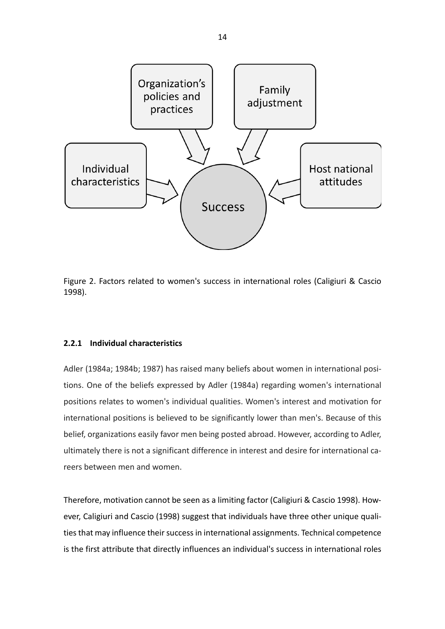

<span id="page-13-1"></span>Figure 2. Factors related to women's success in international roles (Caligiuri & Cascio 1998).

#### <span id="page-13-0"></span>**2.2.1 Individual characteristics**

Adler (1984a; 1984b; 1987) has raised many beliefs about women in international positions. One of the beliefs expressed by Adler (1984a) regarding women's international positions relates to women's individual qualities. Women's interest and motivation for international positions is believed to be significantly lower than men's. Because of this belief, organizations easily favor men being posted abroad. However, according to Adler, ultimately there is not a significant difference in interest and desire for international careers between men and women.

Therefore, motivation cannot be seen as a limiting factor (Caligiuri & Cascio 1998). However, Caligiuri and Cascio (1998) suggest that individuals have three other unique qualities that may influence their success in international assignments. Technical competence is the first attribute that directly influences an individual's success in international roles

14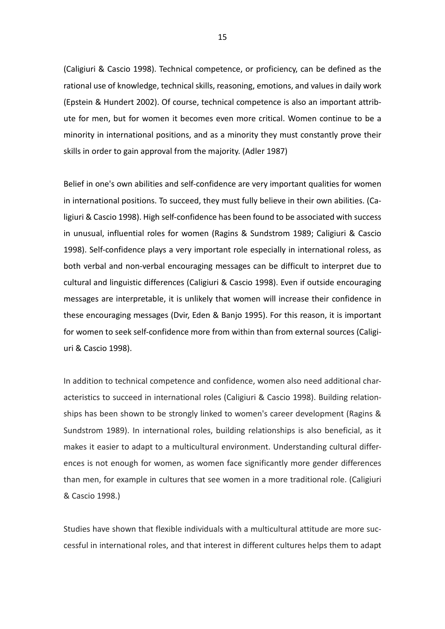(Caligiuri & Cascio 1998). Technical competence, or proficiency, can be defined as the rational use of knowledge, technical skills, reasoning, emotions, and values in daily work (Epstein & Hundert 2002). Of course, technical competence is also an important attribute for men, but for women it becomes even more critical. Women continue to be a minority in international positions, and as a minority they must constantly prove their skills in order to gain approval from the majority. (Adler 1987)

Belief in one's own abilities and self-confidence are very important qualities for women in international positions. To succeed, they must fully believe in their own abilities. (Caligiuri & Cascio 1998). High self-confidence has been found to be associated with success in unusual, influential roles for women (Ragins & Sundstrom 1989; Caligiuri & Cascio 1998). Self-confidence plays a very important role especially in international roless, as both verbal and non-verbal encouraging messages can be difficult to interpret due to cultural and linguistic differences (Caligiuri & Cascio 1998). Even if outside encouraging messages are interpretable, it is unlikely that women will increase their confidence in these encouraging messages (Dvir, Eden & Banjo 1995). For this reason, it is important for women to seek self-confidence more from within than from external sources (Caligiuri & Cascio 1998).

In addition to technical competence and confidence, women also need additional characteristics to succeed in international roles (Caligiuri & Cascio 1998). Building relationships has been shown to be strongly linked to women's career development (Ragins & Sundstrom 1989). In international roles, building relationships is also beneficial, as it makes it easier to adapt to a multicultural environment. Understanding cultural differences is not enough for women, as women face significantly more gender differences than men, for example in cultures that see women in a more traditional role. (Caligiuri & Cascio 1998.)

Studies have shown that flexible individuals with a multicultural attitude are more successful in international roles, and that interest in different cultures helps them to adapt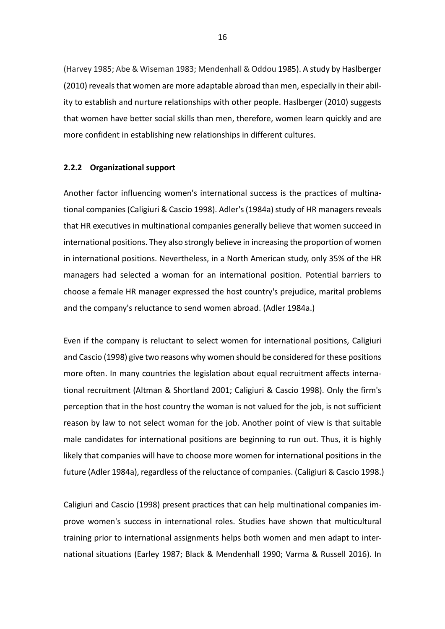(Harvey 1985; Abe & Wiseman 1983; Mendenhall & Oddou 1985). A study by Haslberger (2010) reveals that women are more adaptable abroad than men, especially in their ability to establish and nurture relationships with other people. Haslberger (2010) suggests that women have better social skills than men, therefore, women learn quickly and are more confident in establishing new relationships in different cultures.

#### <span id="page-15-0"></span>**2.2.2 Organizational support**

Another factor influencing women's international success is the practices of multinational companies (Caligiuri & Cascio 1998). Adler's (1984a) study of HR managers reveals that HR executives in multinational companies generally believe that women succeed in international positions. They also strongly believe in increasing the proportion of women in international positions. Nevertheless, in a North American study, only 35% of the HR managers had selected a woman for an international position. Potential barriers to choose a female HR manager expressed the host country's prejudice, marital problems and the company's reluctance to send women abroad. (Adler 1984a.)

Even if the company is reluctant to select women for international positions, Caligiuri and Cascio (1998) give two reasons why women should be considered for these positions more often. In many countries the legislation about equal recruitment affects international recruitment (Altman & Shortland 2001; Caligiuri & Cascio 1998). Only the firm's perception that in the host country the woman is not valued for the job, is not sufficient reason by law to not select woman for the job. Another point of view is that suitable male candidates for international positions are beginning to run out. Thus, it is highly likely that companies will have to choose more women for international positions in the future (Adler 1984a), regardless of the reluctance of companies. (Caligiuri & Cascio 1998.)

Caligiuri and Cascio (1998) present practices that can help multinational companies improve women's success in international roles. Studies have shown that multicultural training prior to international assignments helps both women and men adapt to international situations (Earley 1987; Black & Mendenhall 1990; Varma & Russell 2016). In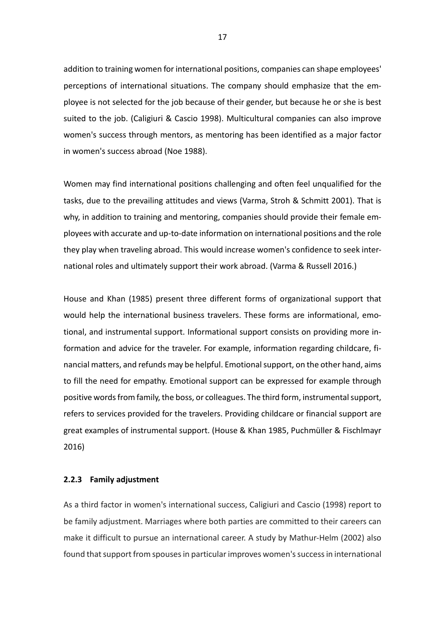addition to training women for international positions, companies can shape employees' perceptions of international situations. The company should emphasize that the employee is not selected for the job because of their gender, but because he or she is best suited to the job. (Caligiuri & Cascio 1998). Multicultural companies can also improve women's success through mentors, as mentoring has been identified as a major factor in women's success abroad (Noe 1988).

Women may find international positions challenging and often feel unqualified for the tasks, due to the prevailing attitudes and views (Varma, Stroh & Schmitt 2001). That is why, in addition to training and mentoring, companies should provide their female employees with accurate and up-to-date information on international positions and the role they play when traveling abroad. This would increase women's confidence to seek international roles and ultimately support their work abroad. (Varma & Russell 2016.)

House and Khan (1985) present three different forms of organizational support that would help the international business travelers. These forms are informational, emotional, and instrumental support. Informational support consists on providing more information and advice for the traveler. For example, information regarding childcare, financial matters, and refunds may be helpful. Emotional support, on the other hand, aims to fill the need for empathy. Emotional support can be expressed for example through positive words from family, the boss, or colleagues. The third form, instrumental support, refers to services provided for the travelers. Providing childcare or financial support are great examples of instrumental support. (House & Khan 1985, Puchmüller & Fischlmayr 2016)

#### <span id="page-16-0"></span>**2.2.3 Family adjustment**

As a third factor in women's international success, Caligiuri and Cascio (1998) report to be family adjustment. Marriages where both parties are committed to their careers can make it difficult to pursue an international career. A study by Mathur-Helm (2002) also found that support from spouses in particular improves women's success in international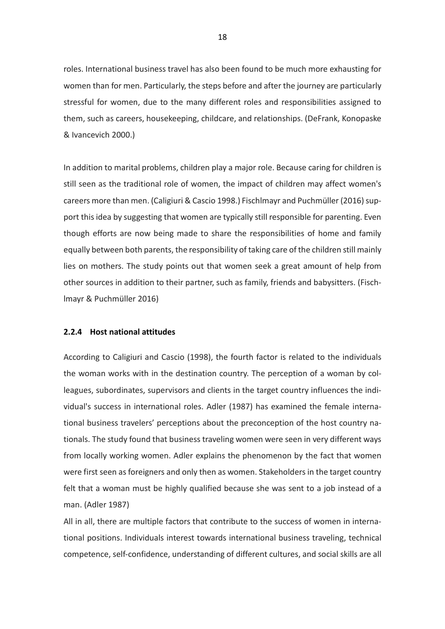roles. International business travel has also been found to be much more exhausting for women than for men. Particularly, the steps before and after the journey are particularly stressful for women, due to the many different roles and responsibilities assigned to them, such as careers, housekeeping, childcare, and relationships. (DeFrank, Konopaske & Ivancevich 2000.)

In addition to marital problems, children play a major role. Because caring for children is still seen as the traditional role of women, the impact of children may affect women's careers more than men. (Caligiuri & Cascio 1998.) Fischlmayr and Puchmüller (2016) support this idea by suggesting that women are typically still responsible for parenting. Even though efforts are now being made to share the responsibilities of home and family equally between both parents, the responsibility of taking care of the children still mainly lies on mothers. The study points out that women seek a great amount of help from other sources in addition to their partner, such as family, friends and babysitters. (Fischlmayr & Puchmüller 2016)

#### <span id="page-17-0"></span>**2.2.4 Host national attitudes**

According to Caligiuri and Cascio (1998), the fourth factor is related to the individuals the woman works with in the destination country. The perception of a woman by colleagues, subordinates, supervisors and clients in the target country influences the individual's success in international roles. Adler (1987) has examined the female international business travelers' perceptions about the preconception of the host country nationals. The study found that business traveling women were seen in very different ways from locally working women. Adler explains the phenomenon by the fact that women were first seen as foreigners and only then as women. Stakeholders in the target country felt that a woman must be highly qualified because she was sent to a job instead of a man. (Adler 1987)

All in all, there are multiple factors that contribute to the success of women in international positions. Individuals interest towards international business traveling, technical competence, self-confidence, understanding of different cultures, and social skills are all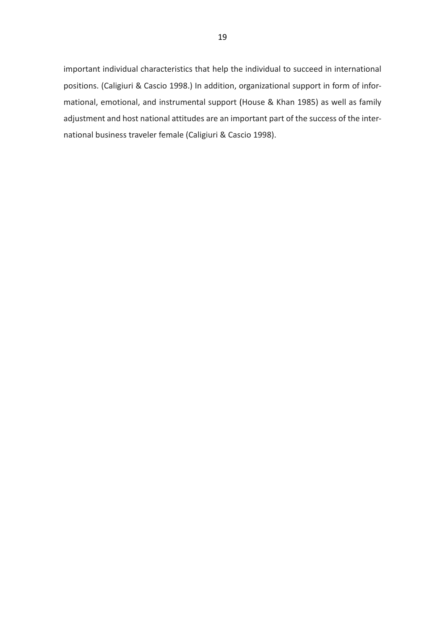important individual characteristics that help the individual to succeed in international positions. (Caligiuri & Cascio 1998.) In addition, organizational support in form of informational, emotional, and instrumental support (House & Khan 1985) as well as family adjustment and host national attitudes are an important part of the success of the international business traveler female (Caligiuri & Cascio 1998).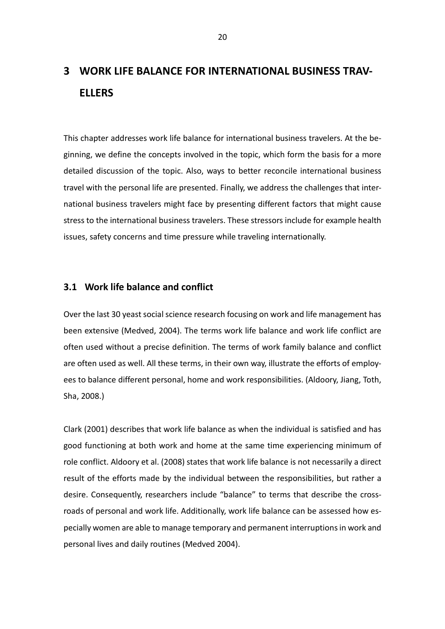# <span id="page-19-0"></span>**3 WORK LIFE BALANCE FOR INTERNATIONAL BUSINESS TRAV-ELLERS**

This chapter addresses work life balance for international business travelers. At the beginning, we define the concepts involved in the topic, which form the basis for a more detailed discussion of the topic. Also, ways to better reconcile international business travel with the personal life are presented. Finally, we address the challenges that international business travelers might face by presenting different factors that might cause stress to the international business travelers. These stressors include for example health issues, safety concerns and time pressure while traveling internationally.

#### <span id="page-19-1"></span>**3.1 Work life balance and conflict**

Over the last 30 yeast social science research focusing on work and life management has been extensive (Medved, 2004). The terms work life balance and work life conflict are often used without a precise definition. The terms of work family balance and conflict are often used as well. All these terms, in their own way, illustrate the efforts of employees to balance different personal, home and work responsibilities. (Aldoory, Jiang, Toth, Sha, 2008.)

Clark (2001) describes that work life balance as when the individual is satisfied and has good functioning at both work and home at the same time experiencing minimum of role conflict. Aldoory et al. (2008) states that work life balance is not necessarily a direct result of the efforts made by the individual between the responsibilities, but rather a desire. Consequently, researchers include "balance" to terms that describe the crossroads of personal and work life. Additionally, work life balance can be assessed how especially women are able to manage temporary and permanent interruptions in work and personal lives and daily routines (Medved 2004).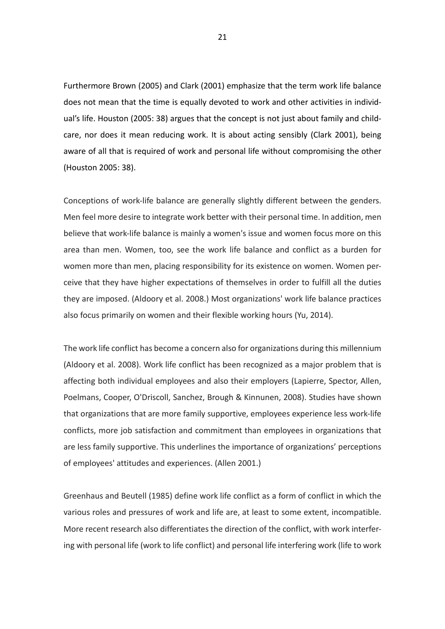Furthermore Brown (2005) and Clark (2001) emphasize that the term work life balance does not mean that the time is equally devoted to work and other activities in individual's life. Houston (2005: 38) argues that the concept is not just about family and childcare, nor does it mean reducing work. It is about acting sensibly (Clark 2001), being aware of all that is required of work and personal life without compromising the other (Houston 2005: 38).

Conceptions of work-life balance are generally slightly different between the genders. Men feel more desire to integrate work better with their personal time. In addition, men believe that work-life balance is mainly a women's issue and women focus more on this area than men. Women, too, see the work life balance and conflict as a burden for women more than men, placing responsibility for its existence on women. Women perceive that they have higher expectations of themselves in order to fulfill all the duties they are imposed. (Aldoory et al. 2008.) Most organizations' work life balance practices also focus primarily on women and their flexible working hours (Yu, 2014).

The work life conflict has become a concern also for organizations during this millennium (Aldoory et al. 2008). Work life conflict has been recognized as a major problem that is affecting both individual employees and also their employers (Lapierre, Spector, Allen, Poelmans, Cooper, O'Driscoll, Sanchez, Brough & Kinnunen, 2008). Studies have shown that organizations that are more family supportive, employees experience less work-life conflicts, more job satisfaction and commitment than employees in organizations that are less family supportive. This underlines the importance of organizations' perceptions of employees' attitudes and experiences. (Allen 2001.)

Greenhaus and Beutell (1985) define work life conflict as a form of conflict in which the various roles and pressures of work and life are, at least to some extent, incompatible. More recent research also differentiates the direction of the conflict, with work interfering with personal life (work to life conflict) and personal life interfering work (life to work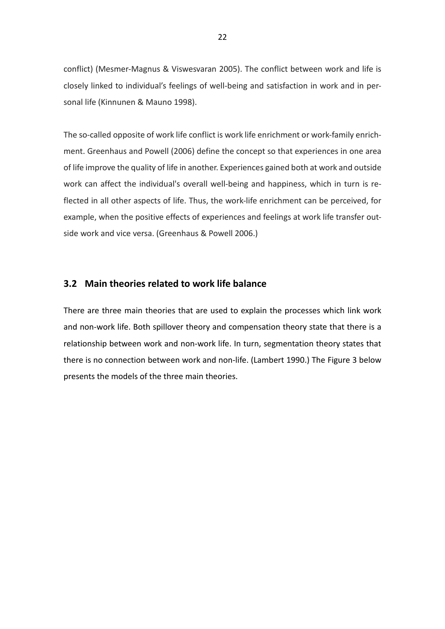conflict) (Mesmer-Magnus & Viswesvaran 2005). The conflict between work and life is closely linked to individual's feelings of well-being and satisfaction in work and in personal life (Kinnunen & Mauno 1998).

The so-called opposite of work life conflict is work life enrichment or work-family enrichment. Greenhaus and Powell (2006) define the concept so that experiences in one area of life improve the quality of life in another. Experiences gained both at work and outside work can affect the individual's overall well-being and happiness, which in turn is reflected in all other aspects of life. Thus, the work-life enrichment can be perceived, for example, when the positive effects of experiences and feelings at work life transfer outside work and vice versa. (Greenhaus & Powell 2006.)

### <span id="page-21-0"></span>**3.2 Main theories related to work life balance**

There are three main theories that are used to explain the processes which link work and non-work life. Both spillover theory and compensation theory state that there is a relationship between work and non-work life. In turn, segmentation theory states that there is no connection between work and non-life. (Lambert 1990.) The Figure 3 below presents the models of the three main theories.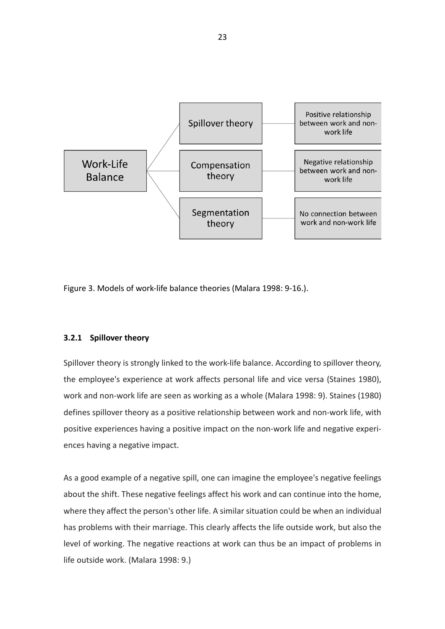

<span id="page-22-1"></span>Figure 3. Models of work-life balance theories (Malara 1998: 9-16.).

#### <span id="page-22-0"></span>**3.2.1 Spillover theory**

Spillover theory is strongly linked to the work-life balance. According to spillover theory, the employee's experience at work affects personal life and vice versa (Staines 1980), work and non-work life are seen as working as a whole (Malara 1998: 9). Staines (1980) defines spillover theory as a positive relationship between work and non-work life, with positive experiences having a positive impact on the non-work life and negative experiences having a negative impact.

As a good example of a negative spill, one can imagine the employee's negative feelings about the shift. These negative feelings affect his work and can continue into the home, where they affect the person's other life. A similar situation could be when an individual has problems with their marriage. This clearly affects the life outside work, but also the level of working. The negative reactions at work can thus be an impact of problems in life outside work. (Malara 1998: 9.)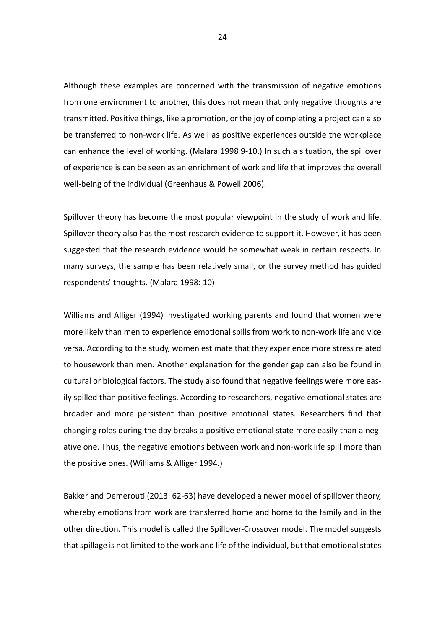Although these examples are concerned with the transmission of negative emotions from one environment to another, this does not mean that only negative thoughts are transmitted. Positive things, like a promotion, or the joy of completing a project can also be transferred to non-work life. As well as positive experiences outside the workplace can enhance the level of working. (Malara 1998 9-10.) In such a situation, the spillover of experience is can be seen as an enrichment of work and life that improves the overall well-being of the individual (Greenhaus & Powell 2006).

Spillover theory has become the most popular viewpoint in the study of work and life. Spillover theory also has the most research evidence to support it. However, it has been suggested that the research evidence would be somewhat weak in certain respects. In many surveys, the sample has been relatively small, or the survey method has guided respondents' thoughts. (Malara 1998: 10)

Williams and Alliger (1994) investigated working parents and found that women were more likely than men to experience emotional spills from work to non-work life and vice versa. According to the study, women estimate that they experience more stress related to housework than men. Another explanation for the gender gap can also be found in cultural or biological factors. The study also found that negative feelings were more easily spilled than positive feelings. According to researchers, negative emotional states are broader and more persistent than positive emotional states. Researchers find that changing roles during the day breaks a positive emotional state more easily than a negative one. Thus, the negative emotions between work and non-work life spill more than the positive ones. (Williams & Alliger 1994.)

Bakker and Demerouti (2013: 62-63) have developed a newer model of spillover theory, whereby emotions from work are transferred home and home to the family and in the other direction. This model is called the Spillover-Crossover model. The model suggests that spillage is not limited to the work and life of the individual, but that emotional states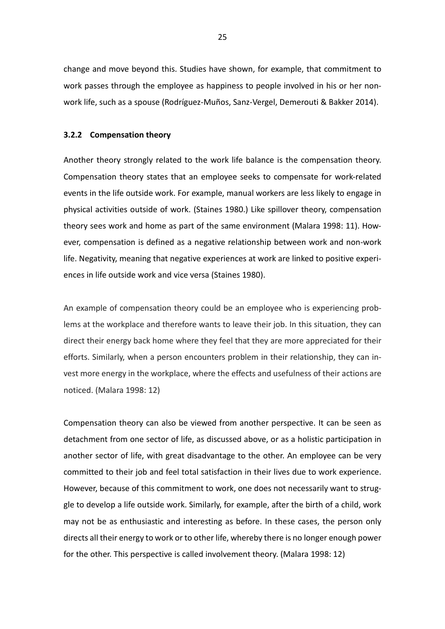change and move beyond this. Studies have shown, for example, that commitment to work passes through the employee as happiness to people involved in his or her nonwork life, such as a spouse (Rodríguez-Muños, Sanz-Vergel, Demerouti & Bakker 2014).

#### <span id="page-24-0"></span>**3.2.2 Compensation theory**

Another theory strongly related to the work life balance is the compensation theory. Compensation theory states that an employee seeks to compensate for work-related events in the life outside work. For example, manual workers are less likely to engage in physical activities outside of work. (Staines 1980.) Like spillover theory, compensation theory sees work and home as part of the same environment (Malara 1998: 11). However, compensation is defined as a negative relationship between work and non-work life. Negativity, meaning that negative experiences at work are linked to positive experiences in life outside work and vice versa (Staines 1980).

An example of compensation theory could be an employee who is experiencing problems at the workplace and therefore wants to leave their job. In this situation, they can direct their energy back home where they feel that they are more appreciated for their efforts. Similarly, when a person encounters problem in their relationship, they can invest more energy in the workplace, where the effects and usefulness of their actions are noticed. (Malara 1998: 12)

Compensation theory can also be viewed from another perspective. It can be seen as detachment from one sector of life, as discussed above, or as a holistic participation in another sector of life, with great disadvantage to the other. An employee can be very committed to their job and feel total satisfaction in their lives due to work experience. However, because of this commitment to work, one does not necessarily want to struggle to develop a life outside work. Similarly, for example, after the birth of a child, work may not be as enthusiastic and interesting as before. In these cases, the person only directs all their energy to work or to other life, whereby there is no longer enough power for the other. This perspective is called involvement theory. (Malara 1998: 12)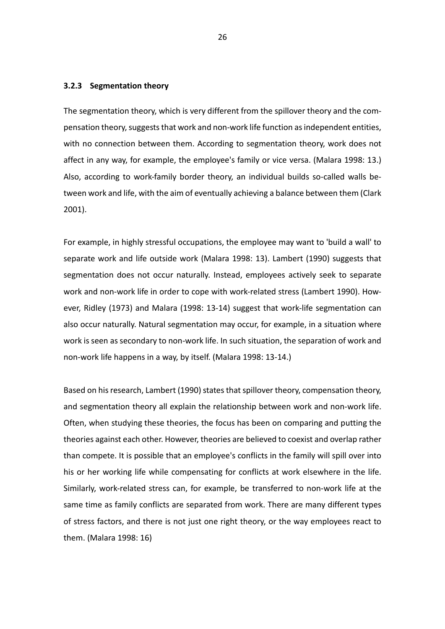#### <span id="page-25-0"></span>**3.2.3 Segmentation theory**

The segmentation theory, which is very different from the spillover theory and the compensation theory, suggests that work and non-work life function as independent entities, with no connection between them. According to segmentation theory, work does not affect in any way, for example, the employee's family or vice versa. (Malara 1998: 13.) Also, according to work-family border theory, an individual builds so-called walls between work and life, with the aim of eventually achieving a balance between them (Clark 2001).

For example, in highly stressful occupations, the employee may want to 'build a wall' to separate work and life outside work (Malara 1998: 13). Lambert (1990) suggests that segmentation does not occur naturally. Instead, employees actively seek to separate work and non-work life in order to cope with work-related stress (Lambert 1990). However, Ridley (1973) and Malara (1998: 13-14) suggest that work-life segmentation can also occur naturally. Natural segmentation may occur, for example, in a situation where work is seen as secondary to non-work life. In such situation, the separation of work and non-work life happens in a way, by itself. (Malara 1998: 13-14.)

Based on his research, Lambert (1990) states that spillover theory, compensation theory, and segmentation theory all explain the relationship between work and non-work life. Often, when studying these theories, the focus has been on comparing and putting the theories against each other. However, theories are believed to coexist and overlap rather than compete. It is possible that an employee's conflicts in the family will spill over into his or her working life while compensating for conflicts at work elsewhere in the life. Similarly, work-related stress can, for example, be transferred to non-work life at the same time as family conflicts are separated from work. There are many different types of stress factors, and there is not just one right theory, or the way employees react to them. (Malara 1998: 16)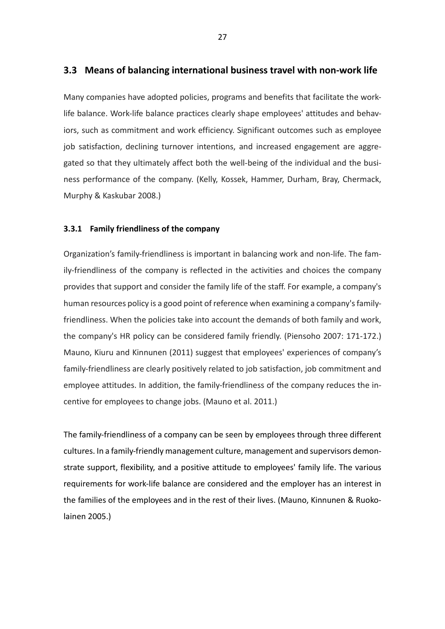### <span id="page-26-0"></span>**3.3 Means of balancing international business travel with non-work life**

Many companies have adopted policies, programs and benefits that facilitate the worklife balance. Work-life balance practices clearly shape employees' attitudes and behaviors, such as commitment and work efficiency. Significant outcomes such as employee job satisfaction, declining turnover intentions, and increased engagement are aggregated so that they ultimately affect both the well-being of the individual and the business performance of the company. (Kelly, Kossek, Hammer, Durham, Bray, Chermack, Murphy & Kaskubar 2008.)

#### <span id="page-26-1"></span>**3.3.1 Family friendliness of the company**

Organization's family-friendliness is important in balancing work and non-life. The family-friendliness of the company is reflected in the activities and choices the company provides that support and consider the family life of the staff. For example, a company's human resources policy is a good point of reference when examining a company's familyfriendliness. When the policies take into account the demands of both family and work, the company's HR policy can be considered family friendly. (Piensoho 2007: 171-172.) Mauno, Kiuru and Kinnunen (2011) suggest that employees' experiences of company's family-friendliness are clearly positively related to job satisfaction, job commitment and employee attitudes. In addition, the family-friendliness of the company reduces the incentive for employees to change jobs. (Mauno et al. 2011.)

The family-friendliness of a company can be seen by employees through three different cultures. In a family-friendly management culture, management and supervisors demonstrate support, flexibility, and a positive attitude to employees' family life. The various requirements for work-life balance are considered and the employer has an interest in the families of the employees and in the rest of their lives. (Mauno, Kinnunen & Ruokolainen 2005.)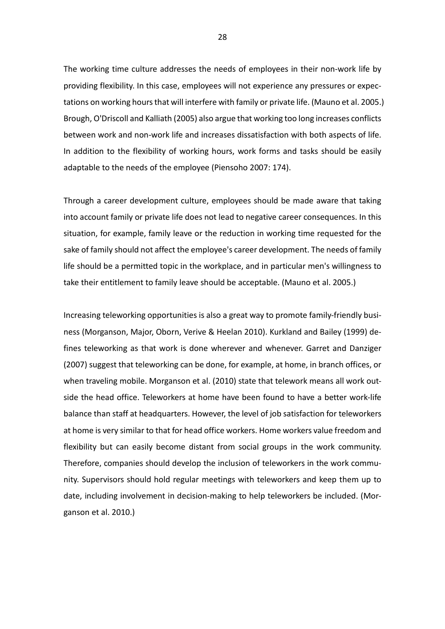The working time culture addresses the needs of employees in their non-work life by providing flexibility. In this case, employees will not experience any pressures or expectations on working hours that will interfere with family or private life. (Mauno et al. 2005.) Brough, O'Driscoll and Kalliath (2005) also argue that working too long increases conflicts between work and non-work life and increases dissatisfaction with both aspects of life. In addition to the flexibility of working hours, work forms and tasks should be easily adaptable to the needs of the employee (Piensoho 2007: 174).

Through a career development culture, employees should be made aware that taking into account family or private life does not lead to negative career consequences. In this situation, for example, family leave or the reduction in working time requested for the sake of family should not affect the employee's career development. The needs of family life should be a permitted topic in the workplace, and in particular men's willingness to take their entitlement to family leave should be acceptable. (Mauno et al. 2005.)

Increasing teleworking opportunities is also a great way to promote family-friendly business (Morganson, Major, Oborn, Verive & Heelan 2010). Kurkland and Bailey (1999) defines teleworking as that work is done wherever and whenever. Garret and Danziger (2007) suggest that teleworking can be done, for example, at home, in branch offices, or when traveling mobile. Morganson et al. (2010) state that telework means all work outside the head office. Teleworkers at home have been found to have a better work-life balance than staff at headquarters. However, the level of job satisfaction for teleworkers at home is very similar to that for head office workers. Home workers value freedom and flexibility but can easily become distant from social groups in the work community. Therefore, companies should develop the inclusion of teleworkers in the work community. Supervisors should hold regular meetings with teleworkers and keep them up to date, including involvement in decision-making to help teleworkers be included. (Morganson et al. 2010.)

28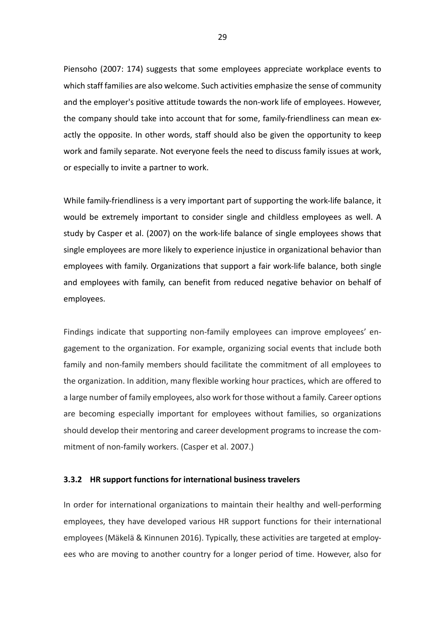Piensoho (2007: 174) suggests that some employees appreciate workplace events to which staff families are also welcome. Such activities emphasize the sense of community and the employer's positive attitude towards the non-work life of employees. However, the company should take into account that for some, family-friendliness can mean exactly the opposite. In other words, staff should also be given the opportunity to keep work and family separate. Not everyone feels the need to discuss family issues at work, or especially to invite a partner to work.

While family-friendliness is a very important part of supporting the work-life balance, it would be extremely important to consider single and childless employees as well. A study by Casper et al. (2007) on the work-life balance of single employees shows that single employees are more likely to experience injustice in organizational behavior than employees with family. Organizations that support a fair work-life balance, both single and employees with family, can benefit from reduced negative behavior on behalf of employees.

Findings indicate that supporting non-family employees can improve employees' engagement to the organization. For example, organizing social events that include both family and non-family members should facilitate the commitment of all employees to the organization. In addition, many flexible working hour practices, which are offered to a large number of family employees, also work for those without a family. Career options are becoming especially important for employees without families, so organizations should develop their mentoring and career development programs to increase the commitment of non-family workers. (Casper et al. 2007.)

#### <span id="page-28-0"></span>**3.3.2 HR support functions for international business travelers**

In order for international organizations to maintain their healthy and well-performing employees, they have developed various HR support functions for their international employees (Mäkelä & Kinnunen 2016). Typically, these activities are targeted at employees who are moving to another country for a longer period of time. However, also for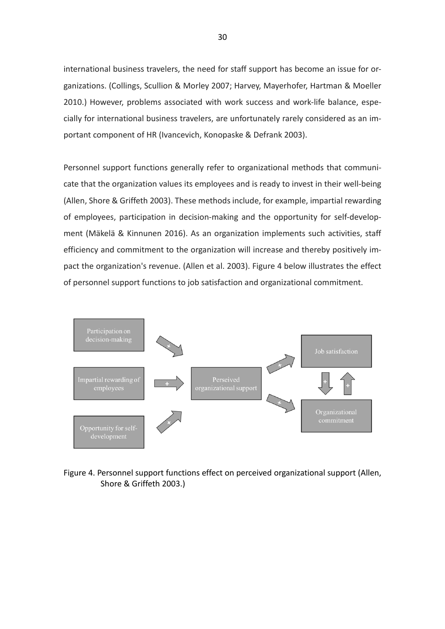international business travelers, the need for staff support has become an issue for organizations. (Collings, Scullion & Morley 2007; Harvey, Mayerhofer, Hartman & Moeller 2010.) However, problems associated with work success and work-life balance, especially for international business travelers, are unfortunately rarely considered as an important component of HR (Ivancevich, Konopaske & Defrank 2003).

Personnel support functions generally refer to organizational methods that communicate that the organization values its employees and is ready to invest in their well-being (Allen, Shore & Griffeth 2003). These methods include, for example, impartial rewarding of employees, participation in decision-making and the opportunity for self-development (Mäkelä & Kinnunen 2016). As an organization implements such activities, staff efficiency and commitment to the organization will increase and thereby positively impact the organization's revenue. (Allen et al. 2003). Figure 4 below illustrates the effect of personnel support functions to job satisfaction and organizational commitment.



<span id="page-29-0"></span>Figure 4. Personnel support functions effect on perceived organizational support (Allen, Shore & Griffeth 2003.)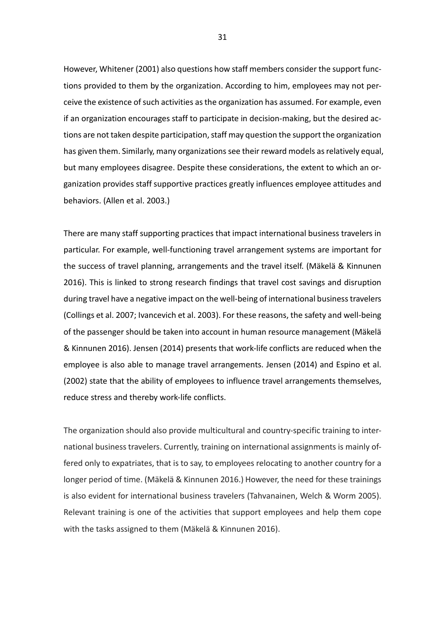However, Whitener (2001) also questions how staff members consider the support functions provided to them by the organization. According to him, employees may not perceive the existence of such activities as the organization has assumed. For example, even if an organization encourages staff to participate in decision-making, but the desired actions are not taken despite participation, staff may question the support the organization has given them. Similarly, many organizations see their reward models as relatively equal, but many employees disagree. Despite these considerations, the extent to which an organization provides staff supportive practices greatly influences employee attitudes and behaviors. (Allen et al. 2003.)

There are many staff supporting practices that impact international business travelers in particular. For example, well-functioning travel arrangement systems are important for the success of travel planning, arrangements and the travel itself. (Mäkelä & Kinnunen 2016). This is linked to strong research findings that travel cost savings and disruption during travel have a negative impact on the well-being of international business travelers (Collings et al. 2007; Ivancevich et al. 2003). For these reasons, the safety and well-being of the passenger should be taken into account in human resource management (Mäkelä & Kinnunen 2016). Jensen (2014) presents that work-life conflicts are reduced when the employee is also able to manage travel arrangements. Jensen (2014) and Espino et al. (2002) state that the ability of employees to influence travel arrangements themselves, reduce stress and thereby work-life conflicts.

The organization should also provide multicultural and country-specific training to international business travelers. Currently, training on international assignments is mainly offered only to expatriates, that is to say, to employees relocating to another country for a longer period of time. (Mäkelä & Kinnunen 2016.) However, the need for these trainings is also evident for international business travelers (Tahvanainen, Welch & Worm 2005). Relevant training is one of the activities that support employees and help them cope with the tasks assigned to them (Mäkelä & Kinnunen 2016).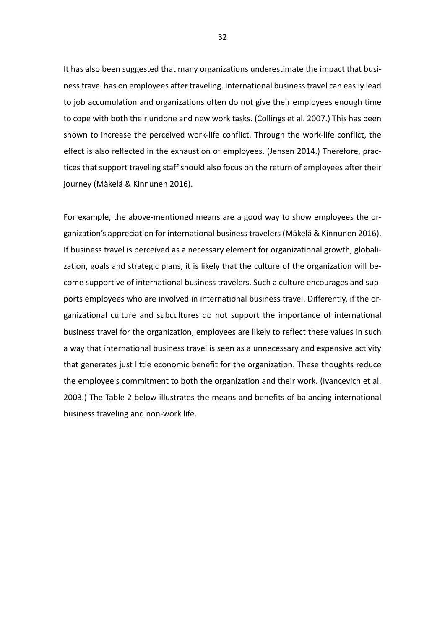It has also been suggested that many organizations underestimate the impact that business travel has on employees after traveling. International business travel can easily lead to job accumulation and organizations often do not give their employees enough time to cope with both their undone and new work tasks. (Collings et al. 2007.) This has been shown to increase the perceived work-life conflict. Through the work-life conflict, the effect is also reflected in the exhaustion of employees. (Jensen 2014.) Therefore, practices that support traveling staff should also focus on the return of employees after their journey (Mäkelä & Kinnunen 2016).

For example, the above-mentioned means are a good way to show employees the organization's appreciation for international business travelers (Mäkelä & Kinnunen 2016). If business travel is perceived as a necessary element for organizational growth, globalization, goals and strategic plans, it is likely that the culture of the organization will become supportive of international business travelers. Such a culture encourages and supports employees who are involved in international business travel. Differently, if the organizational culture and subcultures do not support the importance of international business travel for the organization, employees are likely to reflect these values in such a way that international business travel is seen as a unnecessary and expensive activity that generates just little economic benefit for the organization. These thoughts reduce the employee's commitment to both the organization and their work. (Ivancevich et al. 2003.) The Table 2 below illustrates the means and benefits of balancing international business traveling and non-work life.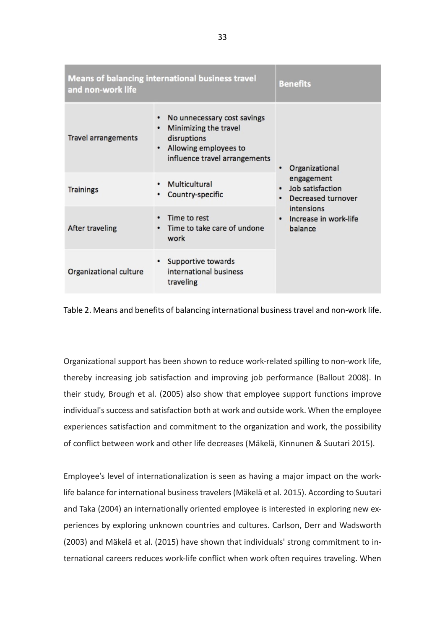| <b>Means of balancing international business travel</b><br>and non-work life | <b>Benefits</b>                                                                                                                         |                                                             |
|------------------------------------------------------------------------------|-----------------------------------------------------------------------------------------------------------------------------------------|-------------------------------------------------------------|
| <b>Travel arrangements</b>                                                   | No unnecessary cost savings<br>Minimizing the travel<br>٠<br>disruptions<br>Allowing employees to<br>٠<br>influence travel arrangements | Organizational                                              |
| <b>Trainings</b>                                                             | Multicultural<br>Country-specific                                                                                                       | engagement<br>Job satisfaction<br><b>Decreased turnover</b> |
| After traveling                                                              | Time to rest<br>Time to take care of undone<br>work                                                                                     | intensions<br>Increase in work-life<br>balance              |
| Organizational culture                                                       | Supportive towards<br>international business<br>traveling                                                                               |                                                             |

<span id="page-32-0"></span>Table 2. Means and benefits of balancing international business travel and non-work life.

Organizational support has been shown to reduce work-related spilling to non-work life, thereby increasing job satisfaction and improving job performance (Ballout 2008). In their study, Brough et al. (2005) also show that employee support functions improve individual's success and satisfaction both at work and outside work. When the employee experiences satisfaction and commitment to the organization and work, the possibility of conflict between work and other life decreases (Mäkelä, Kinnunen & Suutari 2015).

Employee's level of internationalization is seen as having a major impact on the worklife balance for international business travelers (Mäkelä et al. 2015). According to Suutari and Taka (2004) an internationally oriented employee is interested in exploring new experiences by exploring unknown countries and cultures. Carlson, Derr and Wadsworth (2003) and Mäkelä et al. (2015) have shown that individuals' strong commitment to international careers reduces work-life conflict when work often requires traveling. When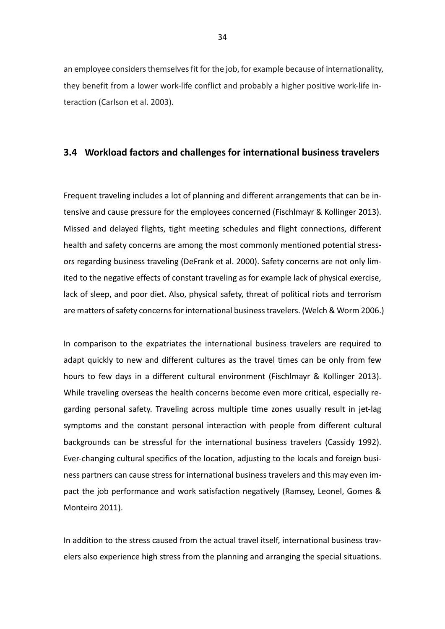an employee considers themselves fit for the job, for example because of internationality, they benefit from a lower work-life conflict and probably a higher positive work-life interaction (Carlson et al. 2003).

#### <span id="page-33-0"></span>**3.4 Workload factors and challenges for international business travelers**

Frequent traveling includes a lot of planning and different arrangements that can be intensive and cause pressure for the employees concerned (Fischlmayr & Kollinger 2013). Missed and delayed flights, tight meeting schedules and flight connections, different health and safety concerns are among the most commonly mentioned potential stressors regarding business traveling (DeFrank et al. 2000). Safety concerns are not only limited to the negative effects of constant traveling as for example lack of physical exercise, lack of sleep, and poor diet. Also, physical safety, threat of political riots and terrorism are matters of safety concerns for international business travelers. (Welch & Worm 2006.)

In comparison to the expatriates the international business travelers are required to adapt quickly to new and different cultures as the travel times can be only from few hours to few days in a different cultural environment (Fischlmayr & Kollinger 2013). While traveling overseas the health concerns become even more critical, especially regarding personal safety. Traveling across multiple time zones usually result in jet-lag symptoms and the constant personal interaction with people from different cultural backgrounds can be stressful for the international business travelers (Cassidy 1992). Ever-changing cultural specifics of the location, adjusting to the locals and foreign business partners can cause stress for international business travelers and this may even impact the job performance and work satisfaction negatively (Ramsey, Leonel, Gomes & Monteiro 2011).

In addition to the stress caused from the actual travel itself, international business travelers also experience high stress from the planning and arranging the special situations.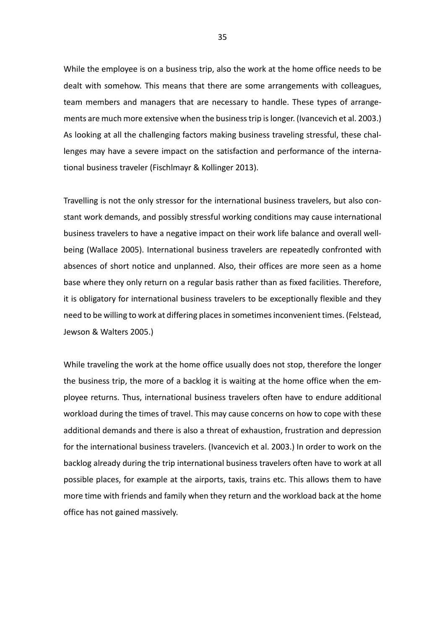While the employee is on a business trip, also the work at the home office needs to be dealt with somehow. This means that there are some arrangements with colleagues, team members and managers that are necessary to handle. These types of arrangements are much more extensive when the business trip is longer. (Ivancevich et al. 2003.) As looking at all the challenging factors making business traveling stressful, these challenges may have a severe impact on the satisfaction and performance of the international business traveler (Fischlmayr & Kollinger 2013).

Travelling is not the only stressor for the international business travelers, but also constant work demands, and possibly stressful working conditions may cause international business travelers to have a negative impact on their work life balance and overall wellbeing (Wallace 2005). International business travelers are repeatedly confronted with absences of short notice and unplanned. Also, their offices are more seen as a home base where they only return on a regular basis rather than as fixed facilities. Therefore, it is obligatory for international business travelers to be exceptionally flexible and they need to be willing to work at differing places in sometimes inconvenient times. (Felstead, Jewson & Walters 2005.)

While traveling the work at the home office usually does not stop, therefore the longer the business trip, the more of a backlog it is waiting at the home office when the employee returns. Thus, international business travelers often have to endure additional workload during the times of travel. This may cause concerns on how to cope with these additional demands and there is also a threat of exhaustion, frustration and depression for the international business travelers. (Ivancevich et al. 2003.) In order to work on the backlog already during the trip international business travelers often have to work at all possible places, for example at the airports, taxis, trains etc. This allows them to have more time with friends and family when they return and the workload back at the home office has not gained massively.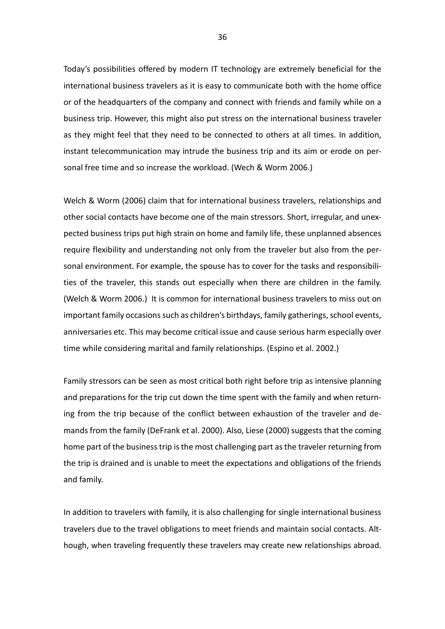Today's possibilities offered by modern IT technology are extremely beneficial for the international business travelers as it is easy to communicate both with the home office or of the headquarters of the company and connect with friends and family while on a business trip. However, this might also put stress on the international business traveler as they might feel that they need to be connected to others at all times. In addition, instant telecommunication may intrude the business trip and its aim or erode on personal free time and so increase the workload. (Wech & Worm 2006.)

Welch & Worm (2006) claim that for international business travelers, relationships and other social contacts have become one of the main stressors. Short, irregular, and unexpected business trips put high strain on home and family life, these unplanned absences require flexibility and understanding not only from the traveler but also from the personal environment. For example, the spouse has to cover for the tasks and responsibilities of the traveler, this stands out especially when there are children in the family. (Welch & Worm 2006.) It is common for international business travelers to miss out on important family occasions such as children's birthdays, family gatherings, school events, anniversaries etc. This may become critical issue and cause serious harm especially over time while considering marital and family relationships. (Espino et al. 2002.)

Family stressors can be seen as most critical both right before trip as intensive planning and preparations for the trip cut down the time spent with the family and when returning from the trip because of the conflict between exhaustion of the traveler and demands from the family (DeFrank et al. 2000). Also, Liese (2000) suggests that the coming home part of the business trip is the most challenging part as the traveler returning from the trip is drained and is unable to meet the expectations and obligations of the friends and family.

In addition to travelers with family, it is also challenging for single international business travelers due to the travel obligations to meet friends and maintain social contacts. Although, when traveling frequently these travelers may create new relationships abroad.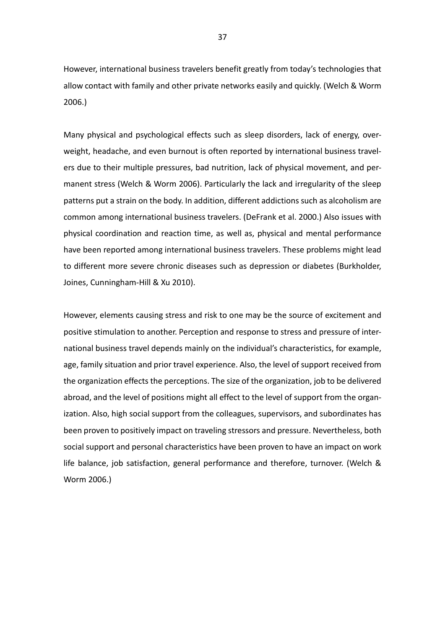However, international business travelers benefit greatly from today's technologies that allow contact with family and other private networks easily and quickly. (Welch & Worm 2006.)

Many physical and psychological effects such as sleep disorders, lack of energy, overweight, headache, and even burnout is often reported by international business travelers due to their multiple pressures, bad nutrition, lack of physical movement, and permanent stress (Welch & Worm 2006). Particularly the lack and irregularity of the sleep patterns put a strain on the body. In addition, different addictions such as alcoholism are common among international business travelers. (DeFrank et al. 2000.) Also issues with physical coordination and reaction time, as well as, physical and mental performance have been reported among international business travelers. These problems might lead to different more severe chronic diseases such as depression or diabetes (Burkholder, Joines, Cunningham-Hill & Xu 2010).

However, elements causing stress and risk to one may be the source of excitement and positive stimulation to another. Perception and response to stress and pressure of international business travel depends mainly on the individual's characteristics, for example, age, family situation and prior travel experience. Also, the level of support received from the organization effects the perceptions. The size of the organization, job to be delivered abroad, and the level of positions might all effect to the level of support from the organization. Also, high social support from the colleagues, supervisors, and subordinates has been proven to positively impact on traveling stressors and pressure. Nevertheless, both social support and personal characteristics have been proven to have an impact on work life balance, job satisfaction, general performance and therefore, turnover. (Welch & Worm 2006.)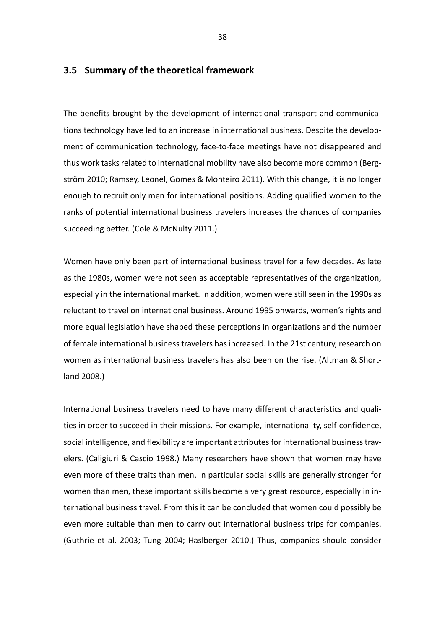#### **3.5 Summary of the theoretical framework**

The benefits brought by the development of international transport and communications technology have led to an increase in international business. Despite the development of communication technology, face-to-face meetings have not disappeared and thus work tasks related to international mobility have also become more common (Bergström 2010; Ramsey, Leonel, Gomes & Monteiro 2011). With this change, it is no longer enough to recruit only men for international positions. Adding qualified women to the ranks of potential international business travelers increases the chances of companies succeeding better. (Cole & McNulty 2011.)

Women have only been part of international business travel for a few decades. As late as the 1980s, women were not seen as acceptable representatives of the organization, especially in the international market. In addition, women were still seen in the 1990s as reluctant to travel on international business. Around 1995 onwards, women's rights and more equal legislation have shaped these perceptions in organizations and the number of female international business travelers has increased. In the 21st century, research on women as international business travelers has also been on the rise. (Altman & Shortland 2008.)

International business travelers need to have many different characteristics and qualities in order to succeed in their missions. For example, internationality, self-confidence, social intelligence, and flexibility are important attributes for international business travelers. (Caligiuri & Cascio 1998.) Many researchers have shown that women may have even more of these traits than men. In particular social skills are generally stronger for women than men, these important skills become a very great resource, especially in international business travel. From this it can be concluded that women could possibly be even more suitable than men to carry out international business trips for companies. (Guthrie et al. 2003; Tung 2004; Haslberger 2010.) Thus, companies should consider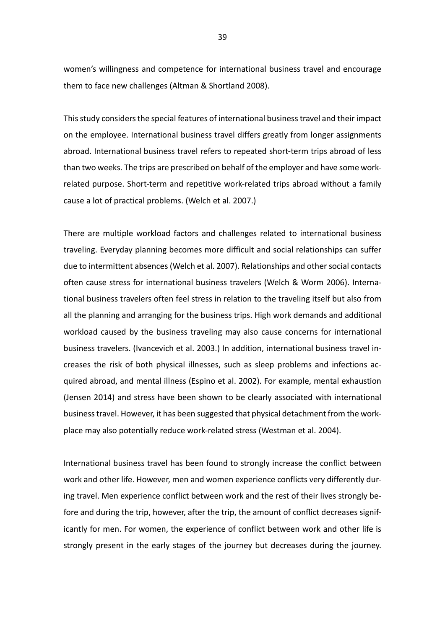women's willingness and competence for international business travel and encourage them to face new challenges (Altman & Shortland 2008).

This study considers the special features of international business travel and their impact on the employee. International business travel differs greatly from longer assignments abroad. International business travel refers to repeated short-term trips abroad of less than two weeks. The trips are prescribed on behalf of the employer and have some workrelated purpose. Short-term and repetitive work-related trips abroad without a family cause a lot of practical problems. (Welch et al. 2007.)

There are multiple workload factors and challenges related to international business traveling. Everyday planning becomes more difficult and social relationships can suffer due to intermittent absences (Welch et al. 2007). Relationships and other social contacts often cause stress for international business travelers (Welch & Worm 2006). International business travelers often feel stress in relation to the traveling itself but also from all the planning and arranging for the business trips. High work demands and additional workload caused by the business traveling may also cause concerns for international business travelers. (Ivancevich et al. 2003.) In addition, international business travel increases the risk of both physical illnesses, such as sleep problems and infections acquired abroad, and mental illness (Espino et al. 2002). For example, mental exhaustion (Jensen 2014) and stress have been shown to be clearly associated with international business travel. However, it has been suggested that physical detachment from the workplace may also potentially reduce work-related stress (Westman et al. 2004).

International business travel has been found to strongly increase the conflict between work and other life. However, men and women experience conflicts very differently during travel. Men experience conflict between work and the rest of their lives strongly before and during the trip, however, after the trip, the amount of conflict decreases significantly for men. For women, the experience of conflict between work and other life is strongly present in the early stages of the journey but decreases during the journey.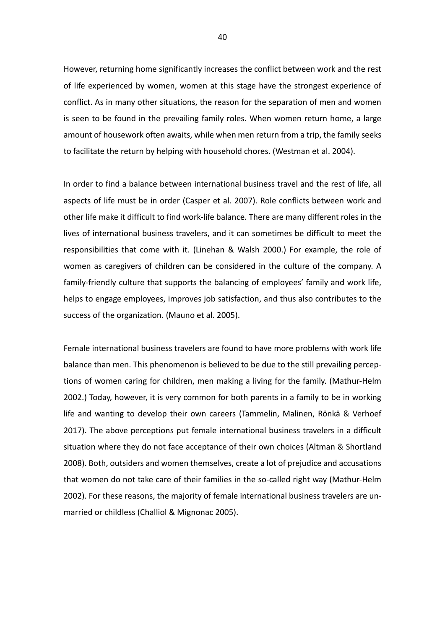However, returning home significantly increases the conflict between work and the rest of life experienced by women, women at this stage have the strongest experience of conflict. As in many other situations, the reason for the separation of men and women is seen to be found in the prevailing family roles. When women return home, a large amount of housework often awaits, while when men return from a trip, the family seeks to facilitate the return by helping with household chores. (Westman et al. 2004).

In order to find a balance between international business travel and the rest of life, all aspects of life must be in order (Casper et al. 2007). Role conflicts between work and other life make it difficult to find work-life balance. There are many different roles in the lives of international business travelers, and it can sometimes be difficult to meet the responsibilities that come with it. (Linehan & Walsh 2000.) For example, the role of women as caregivers of children can be considered in the culture of the company. A family-friendly culture that supports the balancing of employees' family and work life, helps to engage employees, improves job satisfaction, and thus also contributes to the success of the organization. (Mauno et al. 2005).

Female international business travelers are found to have more problems with work life balance than men. This phenomenon is believed to be due to the still prevailing perceptions of women caring for children, men making a living for the family. (Mathur-Helm 2002.) Today, however, it is very common for both parents in a family to be in working life and wanting to develop their own careers (Tammelin, Malinen, Rönkä & Verhoef 2017). The above perceptions put female international business travelers in a difficult situation where they do not face acceptance of their own choices (Altman & Shortland 2008). Both, outsiders and women themselves, create a lot of prejudice and accusations that women do not take care of their families in the so-called right way (Mathur-Helm 2002). For these reasons, the majority of female international business travelers are unmarried or childless (Challiol & Mignonac 2005).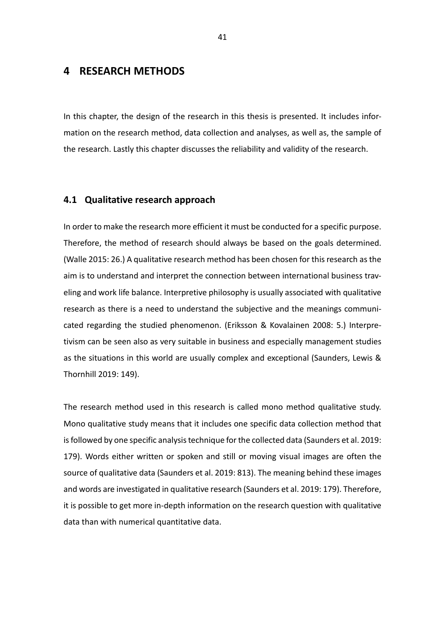# **4 RESEARCH METHODS**

In this chapter, the design of the research in this thesis is presented. It includes information on the research method, data collection and analyses, as well as, the sample of the research. Lastly this chapter discusses the reliability and validity of the research.

## **4.1 Qualitative research approach**

In order to make the research more efficient it must be conducted for a specific purpose. Therefore, the method of research should always be based on the goals determined. (Walle 2015: 26.) A qualitative research method has been chosen for this research as the aim is to understand and interpret the connection between international business traveling and work life balance. Interpretive philosophy is usually associated with qualitative research as there is a need to understand the subjective and the meanings communicated regarding the studied phenomenon. (Eriksson & Kovalainen 2008: 5.) Interpretivism can be seen also as very suitable in business and especially management studies as the situations in this world are usually complex and exceptional (Saunders, Lewis & Thornhill 2019: 149).

The research method used in this research is called mono method qualitative study. Mono qualitative study means that it includes one specific data collection method that is followed by one specific analysis technique for the collected data (Saunders et al. 2019: 179). Words either written or spoken and still or moving visual images are often the source of qualitative data (Saunders et al. 2019: 813). The meaning behind these images and words are investigated in qualitative research (Saunders et al. 2019: 179). Therefore, it is possible to get more in-depth information on the research question with qualitative data than with numerical quantitative data.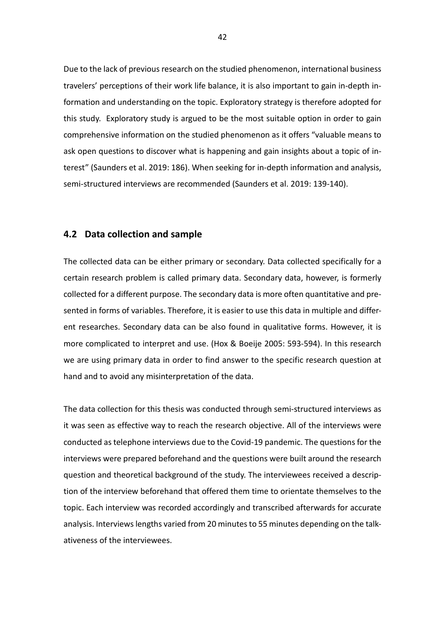Due to the lack of previous research on the studied phenomenon, international business travelers' perceptions of their work life balance, it is also important to gain in-depth information and understanding on the topic. Exploratory strategy is therefore adopted for this study. Exploratory study is argued to be the most suitable option in order to gain comprehensive information on the studied phenomenon as it offers "valuable means to ask open questions to discover what is happening and gain insights about a topic of interest" (Saunders et al. 2019: 186). When seeking for in-depth information and analysis, semi-structured interviews are recommended (Saunders et al. 2019: 139-140).

## **4.2 Data collection and sample**

The collected data can be either primary or secondary. Data collected specifically for a certain research problem is called primary data. Secondary data, however, is formerly collected for a different purpose. The secondary data is more often quantitative and presented in forms of variables. Therefore, it is easier to use this data in multiple and different researches. Secondary data can be also found in qualitative forms. However, it is more complicated to interpret and use. (Hox & Boeije 2005: 593-594). In this research we are using primary data in order to find answer to the specific research question at hand and to avoid any misinterpretation of the data.

The data collection for this thesis was conducted through semi-structured interviews as it was seen as effective way to reach the research objective. All of the interviews were conducted as telephone interviews due to the Covid-19 pandemic. The questions for the interviews were prepared beforehand and the questions were built around the research question and theoretical background of the study. The interviewees received a description of the interview beforehand that offered them time to orientate themselves to the topic. Each interview was recorded accordingly and transcribed afterwards for accurate analysis. Interviews lengths varied from 20 minutes to 55 minutes depending on the talkativeness of the interviewees.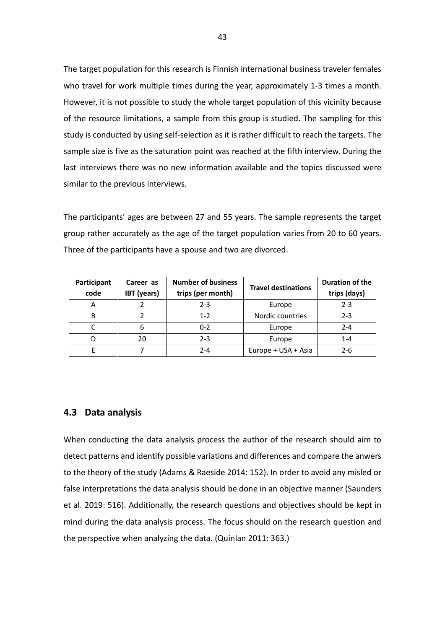The target population for this research is Finnish international business traveler females who travel for work multiple times during the year, approximately 1-3 times a month. However, it is not possible to study the whole target population of this vicinity because of the resource limitations, a sample from this group is studied. The sampling for this study is conducted by using self-selection as it is rather difficult to reach the targets. The sample size is five as the saturation point was reached at the fifth interview. During the last interviews there was no new information available and the topics discussed were similar to the previous interviews.

The participants' ages are between 27 and 55 years. The sample represents the target group rather accurately as the age of the target population varies from 20 to 60 years. Three of the participants have a spouse and two are divorced.

| Participant<br>code | Career as<br><b>IBT</b> (years) | <b>Number of business</b><br>trips (per month) | <b>Travel destinations</b> | <b>Duration of the</b><br>trips (days) |
|---------------------|---------------------------------|------------------------------------------------|----------------------------|----------------------------------------|
| A                   |                                 | $2 - 3$                                        | Europe                     | $2 - 3$                                |
| B                   |                                 | $1 - 2$                                        | Nordic countries           | $2 - 3$                                |
|                     | 6                               | $0 - 2$                                        | Europe                     | $2 - 4$                                |
| D                   | 20                              | $2 - 3$                                        | Europe                     | $1 - 4$                                |
|                     |                                 | $2 - 4$                                        | Europe + USA + Asia        | $2 - 6$                                |

## **4.3 Data analysis**

When conducting the data analysis process the author of the research should aim to detect patterns and identify possible variations and differences and compare the anwers to the theory of the study (Adams & Raeside 2014: 152). In order to avoid any misled or false interpretations the data analysis should be done in an objective manner (Saunders et al. 2019: 516). Additionally, the research questions and objectives should be kept in mind during the data analysis process. The focus should on the research question and the perspective when analyzing the data. (Quinlan 2011: 363.)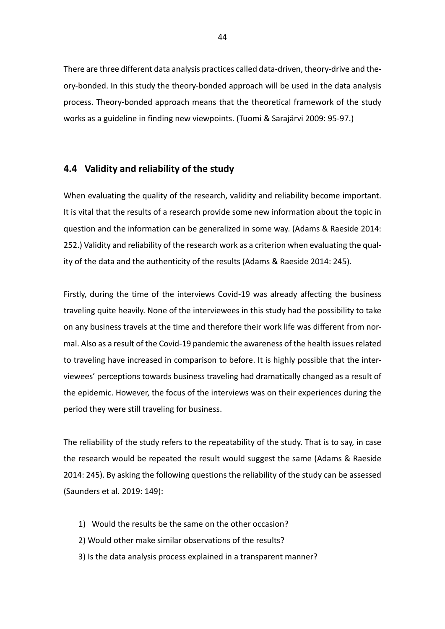There are three different data analysis practices called data-driven, theory-drive and theory-bonded. In this study the theory-bonded approach will be used in the data analysis process. Theory-bonded approach means that the theoretical framework of the study works as a guideline in finding new viewpoints. (Tuomi & Sarajärvi 2009: 95-97.)

## **4.4 Validity and reliability of the study**

When evaluating the quality of the research, validity and reliability become important. It is vital that the results of a research provide some new information about the topic in question and the information can be generalized in some way. (Adams & Raeside 2014: 252.) Validity and reliability of the research work as a criterion when evaluating the quality of the data and the authenticity of the results (Adams & Raeside 2014: 245).

Firstly, during the time of the interviews Covid-19 was already affecting the business traveling quite heavily. None of the interviewees in this study had the possibility to take on any business travels at the time and therefore their work life was different from normal. Also as a result of the Covid-19 pandemic the awareness of the health issues related to traveling have increased in comparison to before. It is highly possible that the interviewees' perceptions towards business traveling had dramatically changed as a result of the epidemic. However, the focus of the interviews was on their experiences during the period they were still traveling for business.

The reliability of the study refers to the repeatability of the study. That is to say, in case the research would be repeated the result would suggest the same (Adams & Raeside 2014: 245). By asking the following questions the reliability of the study can be assessed (Saunders et al. 2019: 149):

- 1) Would the results be the same on the other occasion?
- 2) Would other make similar observations of the results?
- 3) Is the data analysis process explained in a transparent manner?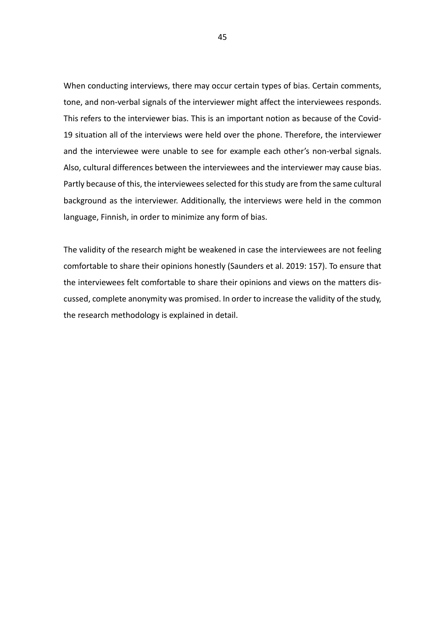When conducting interviews, there may occur certain types of bias. Certain comments, tone, and non-verbal signals of the interviewer might affect the interviewees responds. This refers to the interviewer bias. This is an important notion as because of the Covid-19 situation all of the interviews were held over the phone. Therefore, the interviewer and the interviewee were unable to see for example each other's non-verbal signals. Also, cultural differences between the interviewees and the interviewer may cause bias. Partly because of this, the interviewees selected for this study are from the same cultural background as the interviewer. Additionally, the interviews were held in the common language, Finnish, in order to minimize any form of bias.

The validity of the research might be weakened in case the interviewees are not feeling comfortable to share their opinions honestly (Saunders et al. 2019: 157). To ensure that the interviewees felt comfortable to share their opinions and views on the matters discussed, complete anonymity was promised. In order to increase the validity of the study, the research methodology is explained in detail.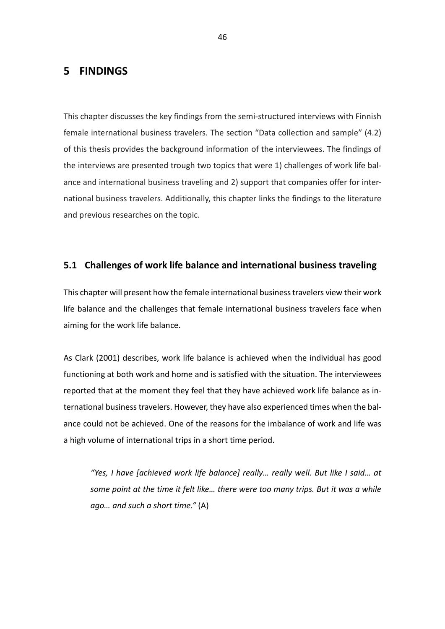## **5 FINDINGS**

This chapter discusses the key findings from the semi-structured interviews with Finnish female international business travelers. The section "Data collection and sample" (4.2) of this thesis provides the background information of the interviewees. The findings of the interviews are presented trough two topics that were 1) challenges of work life balance and international business traveling and 2) support that companies offer for international business travelers. Additionally, this chapter links the findings to the literature and previous researches on the topic.

## **5.1 Challenges of work life balance and international business traveling**

This chapter will present how the female international business travelers view their work life balance and the challenges that female international business travelers face when aiming for the work life balance.

As Clark (2001) describes, work life balance is achieved when the individual has good functioning at both work and home and is satisfied with the situation. The interviewees reported that at the moment they feel that they have achieved work life balance as international business travelers. However, they have also experienced times when the balance could not be achieved. One of the reasons for the imbalance of work and life was a high volume of international trips in a short time period.

*"Yes, I have [achieved work life balance] really… really well. But like I said… at some point at the time it felt like… there were too many trips. But it was a while ago… and such a short time."* (A)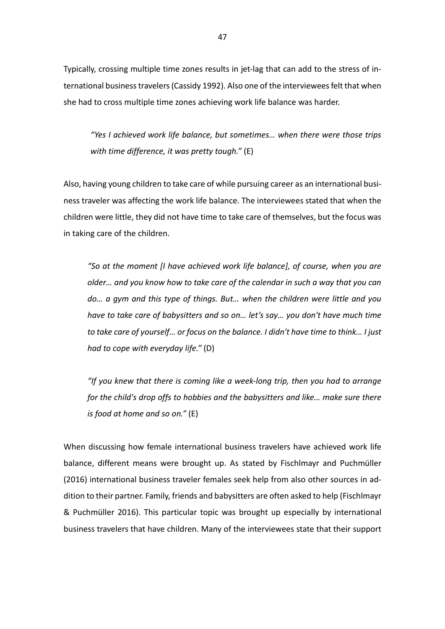Typically, crossing multiple time zones results in jet-lag that can add to the stress of international business travelers (Cassidy 1992). Also one of the interviewees felt that when she had to cross multiple time zones achieving work life balance was harder.

*"Yes I achieved work life balance, but sometimes… when there were those trips with time difference, it was pretty tough."* (E)

Also, having young children to take care of while pursuing career as an international business traveler was affecting the work life balance. The interviewees stated that when the children were little, they did not have time to take care of themselves, but the focus was in taking care of the children.

*"So at the moment [I have achieved work life balance], of course, when you are older… and you know how to take care of the calendar in such a way that you can do… a gym and this type of things. But… when the children were little and you have to take care of babysitters and so on… let's say… you don't have much time to take care of yourself… or focus on the balance. I didn't have time to think… I just had to cope with everyday life."* (D)

*"If you knew that there is coming like a week-long trip, then you had to arrange for the child's drop offs to hobbies and the babysitters and like… make sure there is food at home and so on."* (E)

When discussing how female international business travelers have achieved work life balance, different means were brought up. As stated by Fischlmayr and Puchmüller (2016) international business traveler females seek help from also other sources in addition to their partner. Family, friends and babysitters are often asked to help (Fischlmayr & Puchmüller 2016). This particular topic was brought up especially by international business travelers that have children. Many of the interviewees state that their support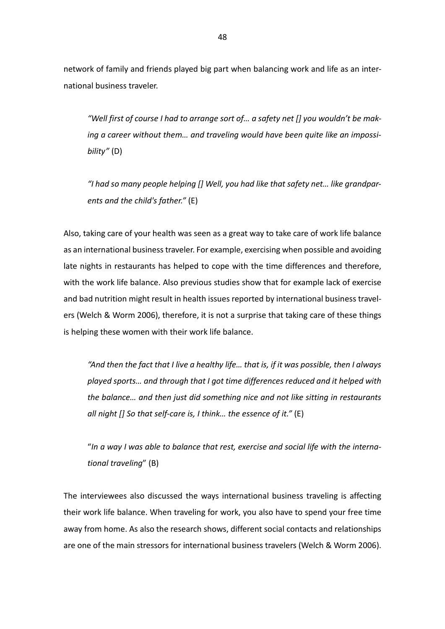network of family and friends played big part when balancing work and life as an international business traveler.

*"Well first of course I had to arrange sort of… a safety net [] you wouldn't be making a career without them… and traveling would have been quite like an impossibility"* (D)

*"I had so many people helping [] Well, you had like that safety net… like grandparents and the child's father."* (E)

Also, taking care of your health was seen as a great way to take care of work life balance as an international business traveler. For example, exercising when possible and avoiding late nights in restaurants has helped to cope with the time differences and therefore, with the work life balance. Also previous studies show that for example lack of exercise and bad nutrition might result in health issues reported by international business travelers (Welch & Worm 2006), therefore, it is not a surprise that taking care of these things is helping these women with their work life balance.

*"And then the fact that I live a healthy life… that is, if it was possible, then I always played sports… and through that I got time differences reduced and it helped with the balance… and then just did something nice and not like sitting in restaurants all night [] So that self-care is, I think… the essence of it."* (E)

"*In a way I was able to balance that rest, exercise and social life with the international traveling*" (B)

The interviewees also discussed the ways international business traveling is affecting their work life balance. When traveling for work, you also have to spend your free time away from home. As also the research shows, different social contacts and relationships are one of the main stressors for international business travelers (Welch & Worm 2006).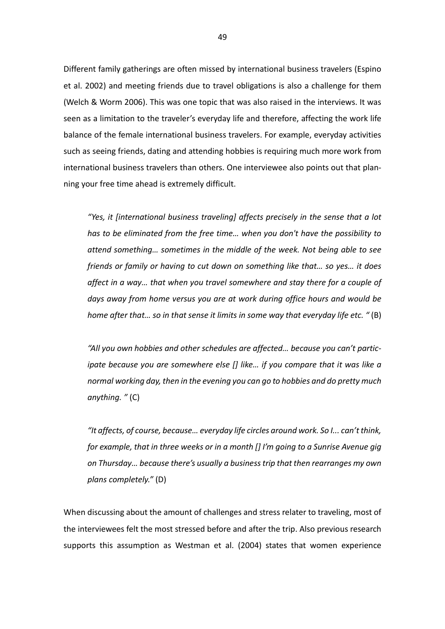Different family gatherings are often missed by international business travelers (Espino et al. 2002) and meeting friends due to travel obligations is also a challenge for them (Welch & Worm 2006). This was one topic that was also raised in the interviews. It was seen as a limitation to the traveler's everyday life and therefore, affecting the work life balance of the female international business travelers. For example, everyday activities such as seeing friends, dating and attending hobbies is requiring much more work from international business travelers than others. One interviewee also points out that planning your free time ahead is extremely difficult.

*"Yes, it [international business traveling] affects precisely in the sense that a lot has to be eliminated from the free time… when you don't have the possibility to attend something… sometimes in the middle of the week. Not being able to see friends or family or having to cut down on something like that… so yes… it does affect in a way… that when you travel somewhere and stay there for a couple of days away from home versus you are at work during office hours and would be home after that… so in that sense it limits in some way that everyday life etc. "* (B)

*"All you own hobbies and other schedules are affected… because you can't participate because you are somewhere else [] like... if you compare that it was like a normal working day, then in the evening you can go to hobbies and do pretty much anything. "* (C)

*"It affects, of course, because… everyday life circles around work. So I... can'tthink, for example, that in three weeks or in a month [] I'm going to a Sunrise Avenue gig on Thursday… because there's usually a business trip that then rearranges my own plans completely."* (D)

When discussing about the amount of challenges and stress relater to traveling, most of the interviewees felt the most stressed before and after the trip. Also previous research supports this assumption as Westman et al. (2004) states that women experience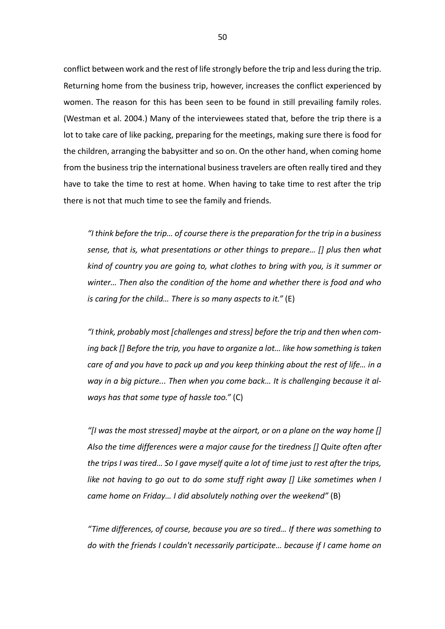conflict between work and the rest of life strongly before the trip and less during the trip. Returning home from the business trip, however, increases the conflict experienced by women. The reason for this has been seen to be found in still prevailing family roles. (Westman et al. 2004.) Many of the interviewees stated that, before the trip there is a lot to take care of like packing, preparing for the meetings, making sure there is food for the children, arranging the babysitter and so on. On the other hand, when coming home from the business trip the international business travelers are often really tired and they have to take the time to rest at home. When having to take time to rest after the trip there is not that much time to see the family and friends.

*"I think before the trip… of course there is the preparation for the trip in a business sense, that is, what presentations or other things to prepare… [] plus then what kind of country you are going to, what clothes to bring with you, is it summer or winter… Then also the condition of the home and whether there is food and who is caring for the child… There is so many aspects to it."* (E)

*"I think, probably most [challenges and stress] before the trip and then when coming back [] Before the trip, you have to organize a lot… like how something is taken care of and you have to pack up and you keep thinking about the rest of life… in a way in a big picture... Then when you come back… It is challenging because it always has that some type of hassle too."* (C)

*"[I was the most stressed] maybe at the airport, or on a plane on the way home [] Also the time differences were a major cause for the tiredness [] Quite often after the trips I was tired… So I gave myself quite a lot of time just to rest after the trips, like not having to go out to do some stuff right away [] Like sometimes when I came home on Friday… I did absolutely nothing over the weekend"* (B)

*"Time differences, of course, because you are so tired… If there was something to do with the friends I couldn't necessarily participate… because if I came home on*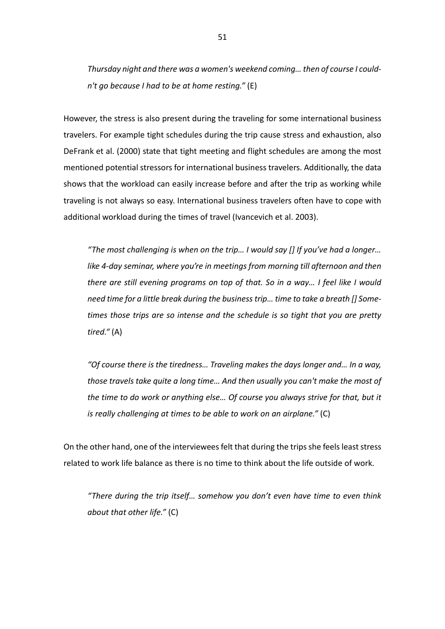*Thursday night and there was a women's weekend coming… then of course I couldn't go because I had to be at home resting."* (E)

However, the stress is also present during the traveling for some international business travelers. For example tight schedules during the trip cause stress and exhaustion, also DeFrank et al. (2000) state that tight meeting and flight schedules are among the most mentioned potential stressors for international business travelers. Additionally, the data shows that the workload can easily increase before and after the trip as working while traveling is not always so easy. International business travelers often have to cope with additional workload during the times of travel (Ivancevich et al. 2003).

*"The most challenging is when on the trip… I would say [] If you've had a longer… like 4-day seminar, where you're in meetings from morning till afternoon and then there are still evening programs on top of that. So in a way… I feel like I would need time for a little break during the business trip… time to take a breath [] Sometimes those trips are so intense and the schedule is so tight that you are pretty tired."* (A)

*"Of course there is the tiredness… Traveling makes the days longer and… In a way, those travels take quite a long time… And then usually you can't make the most of the time to do work or anything else… Of course you always strive for that, but it is really challenging at times to be able to work on an airplane."* (C)

On the other hand, one of the interviewees felt that during the trips she feels least stress related to work life balance as there is no time to think about the life outside of work.

*"There during the trip itself… somehow you don't even have time to even think about that other life."* (C)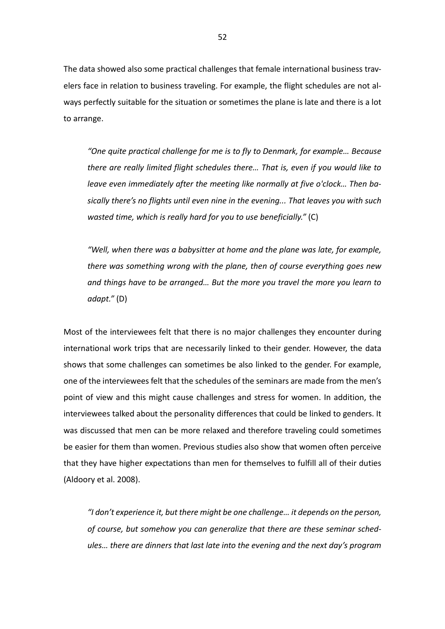The data showed also some practical challenges that female international business travelers face in relation to business traveling. For example, the flight schedules are not always perfectly suitable for the situation or sometimes the plane is late and there is a lot to arrange.

*"One quite practical challenge for me is to fly to Denmark, for example… Because there are really limited flight schedules there… That is, even if you would like to leave even immediately after the meeting like normally at five o'clock… Then basically there's no flights until even nine in the evening... That leaves you with such wasted time, which is really hard for you to use beneficially."* (C)

*"Well, when there was a babysitter at home and the plane was late, for example, there was something wrong with the plane, then of course everything goes new and things have to be arranged… But the more you travel the more you learn to adapt."* (D)

Most of the interviewees felt that there is no major challenges they encounter during international work trips that are necessarily linked to their gender. However, the data shows that some challenges can sometimes be also linked to the gender. For example, one of the interviewees felt that the schedules of the seminars are made from the men's point of view and this might cause challenges and stress for women. In addition, the interviewees talked about the personality differences that could be linked to genders. It was discussed that men can be more relaxed and therefore traveling could sometimes be easier for them than women. Previous studies also show that women often perceive that they have higher expectations than men for themselves to fulfill all of their duties (Aldoory et al. 2008).

*"I don't experience it, but there might be one challenge… it depends on the person, of course, but somehow you can generalize that there are these seminar schedules… there are dinners that last late into the evening and the next day's program*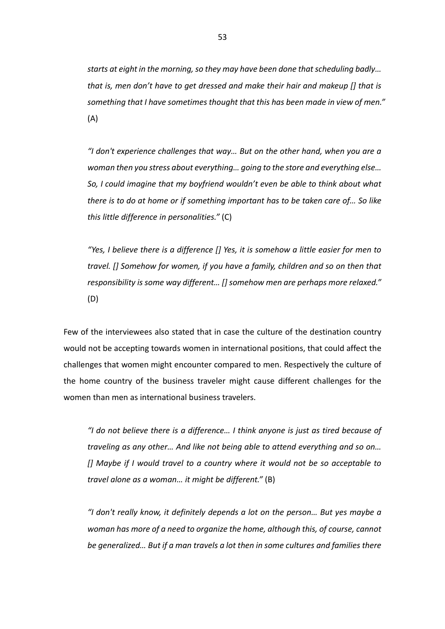*starts at eight in the morning, so they may have been done that scheduling badly… that is, men don't have to get dressed and make their hair and makeup [] that is something that I have sometimes thought that this has been made in view of men."*  (A)

*"I don't experience challenges that way… But on the other hand, when you are a woman then you stress about everything… going to the store and everything else… So, I could imagine that my boyfriend wouldn't even be able to think about what there is to do at home or if something important has to be taken care of… So like this little difference in personalities."* (C)

*"Yes, I believe there is a difference [] Yes, it is somehow a little easier for men to travel. [] Somehow for women, if you have a family, children and so on then that responsibility is some way different… [] somehow men are perhaps more relaxed."*  (D)

Few of the interviewees also stated that in case the culture of the destination country would not be accepting towards women in international positions, that could affect the challenges that women might encounter compared to men. Respectively the culture of the home country of the business traveler might cause different challenges for the women than men as international business travelers.

*"I do not believe there is a difference… I think anyone is just as tired because of traveling as any other… And like not being able to attend everything and so on… [] Maybe if I would travel to a country where it would not be so acceptable to travel alone as a woman… it might be different."* (B)

*"I don't really know, it definitely depends a lot on the person… But yes maybe a woman has more of a need to organize the home, although this, of course, cannot be generalized… But if a man travels a lot then in some cultures and families there*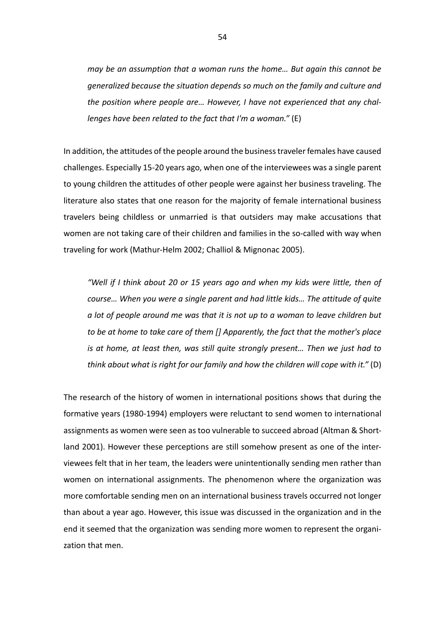*may be an assumption that a woman runs the home… But again this cannot be generalized because the situation depends so much on the family and culture and the position where people are… However, I have not experienced that any challenges have been related to the fact that I'm a woman."* (E)

In addition, the attitudes of the people around the business traveler females have caused challenges. Especially 15-20 years ago, when one of the interviewees was a single parent to young children the attitudes of other people were against her business traveling. The literature also states that one reason for the majority of female international business travelers being childless or unmarried is that outsiders may make accusations that women are not taking care of their children and families in the so-called with way when traveling for work (Mathur-Helm 2002; Challiol & Mignonac 2005).

*"Well if I think about 20 or 15 years ago and when my kids were little, then of course… When you were a single parent and had little kids… The attitude of quite a lot of people around me was that it is not up to a woman to leave children but to be at home to take care of them [] Apparently, the fact that the mother's place is at home, at least then, was still quite strongly present… Then we just had to think about what is right for our family and how the children will cope with it."* (D)

The research of the history of women in international positions shows that during the formative years (1980-1994) employers were reluctant to send women to international assignments as women were seen as too vulnerable to succeed abroad (Altman & Shortland 2001). However these perceptions are still somehow present as one of the interviewees felt that in her team, the leaders were unintentionally sending men rather than women on international assignments. The phenomenon where the organization was more comfortable sending men on an international business travels occurred not longer than about a year ago. However, this issue was discussed in the organization and in the end it seemed that the organization was sending more women to represent the organization that men.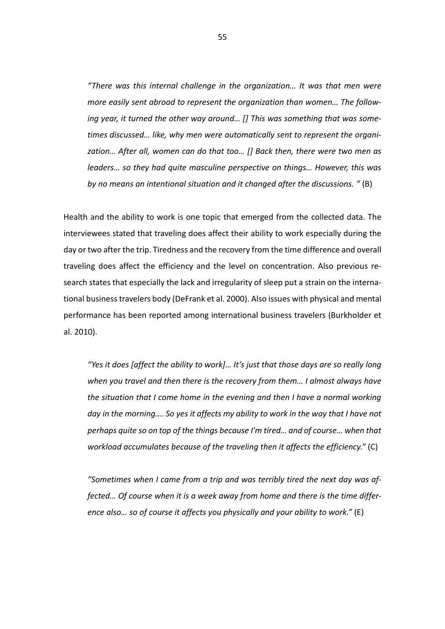*"There was this internal challenge in the organization… It was that men were more easily sent abroad to represent the organization than women… The following year, it turned the other way around… [] This was something that was sometimes discussed… like, why men were automatically sent to represent the organization… After all, women can do that too… [] Back then, there were two men as leaders… so they had quite masculine perspective on things… However, this was by no means an intentional situation and it changed after the discussions. "* (B)

Health and the ability to work is one topic that emerged from the collected data. The interviewees stated that traveling does affect their ability to work especially during the day or two after the trip. Tiredness and the recovery from the time difference and overall traveling does affect the efficiency and the level on concentration. Also previous research states that especially the lack and irregularity of sleep put a strain on the international business travelers body (DeFrank et al. 2000). Also issues with physical and mental performance has been reported among international business travelers (Burkholder et al. 2010).

*"Yes it does [affect the ability to work]… It's just that those days are so really long when you travel and then there is the recovery from them… I almost always have the situation that I come home in the evening and then I have a normal working day in the morning…. So yes it affects my ability to work in the way that I have not perhaps quite so on top of the things because I'm tired… and of course… when that workload accumulates because of the traveling then it affects the efficiency."* (C)

*"Sometimes when I came from a trip and was terribly tired the next day was affected… Of course when it is a week away from home and there is the time difference also… so of course it affects you physically and your ability to work."* (E)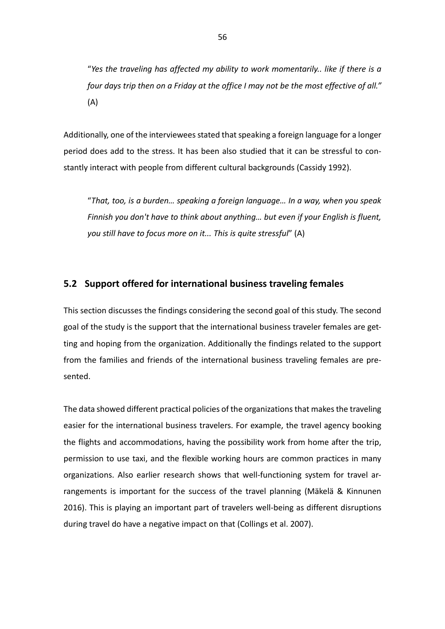"*Yes the traveling has affected my ability to work momentarily.. like if there is a four days trip then on a Friday at the office I may not be the most effective of all."*  (A)

Additionally, one of the interviewees stated that speaking a foreign language for a longer period does add to the stress. It has been also studied that it can be stressful to constantly interact with people from different cultural backgrounds (Cassidy 1992).

"*That, too, is a burden… speaking a foreign language… In a way, when you speak Finnish you don't have to think about anything… but even if your English is fluent, you still have to focus more on it... This is quite stressful*" (A)

## **5.2 Support offered for international business traveling females**

This section discusses the findings considering the second goal of this study. The second goal of the study is the support that the international business traveler females are getting and hoping from the organization. Additionally the findings related to the support from the families and friends of the international business traveling females are presented.

The data showed different practical policies of the organizations that makes the traveling easier for the international business travelers. For example, the travel agency booking the flights and accommodations, having the possibility work from home after the trip, permission to use taxi, and the flexible working hours are common practices in many organizations. Also earlier research shows that well-functioning system for travel arrangements is important for the success of the travel planning (Mäkelä & Kinnunen 2016). This is playing an important part of travelers well-being as different disruptions during travel do have a negative impact on that (Collings et al. 2007).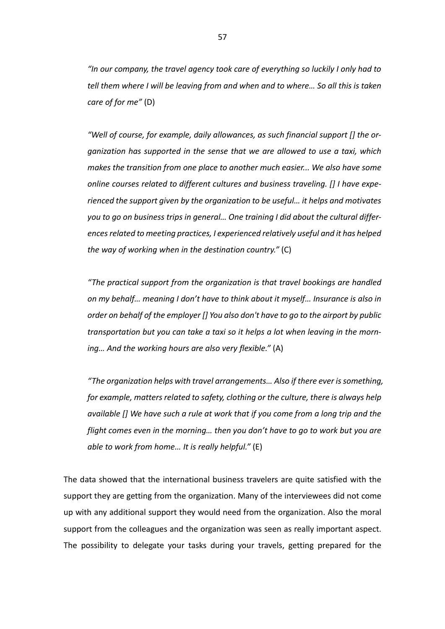*"In our company, the travel agency took care of everything so luckily I only had to tell them where I will be leaving from and when and to where… So all this is taken care of for me"* (D)

*"Well of course, for example, daily allowances, as such financial support [] the organization has supported in the sense that we are allowed to use a taxi, which makes the transition from one place to another much easier... We also have some online courses related to different cultures and business traveling. [] I have experienced the support given by the organization to be useful… it helps and motivates you to go on business trips in general… One training I did about the cultural differencesrelated to meeting practices, I experienced relatively useful and it has helped the way of working when in the destination country."* (C)

*"The practical support from the organization is that travel bookings are handled on my behalf… meaning I don't have to think about it myself… Insurance is also in order on behalf of the employer [] You also don't have to go to the airport by public transportation but you can take a taxi so it helps a lot when leaving in the morning… And the working hours are also very flexible."* (A)

*"The organization helps with travel arrangements… Also if there ever is something, for example, matters related to safety, clothing or the culture, there is always help available [] We have such a rule at work that if you come from a long trip and the flight comes even in the morning… then you don't have to go to work but you are able to work from home… It is really helpful."* (E)

The data showed that the international business travelers are quite satisfied with the support they are getting from the organization. Many of the interviewees did not come up with any additional support they would need from the organization. Also the moral support from the colleagues and the organization was seen as really important aspect. The possibility to delegate your tasks during your travels, getting prepared for the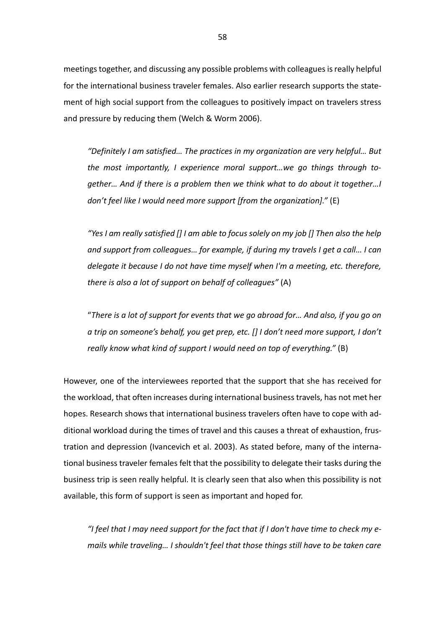meetings together, and discussing any possible problems with colleagues is really helpful for the international business traveler females. Also earlier research supports the statement of high social support from the colleagues to positively impact on travelers stress and pressure by reducing them (Welch & Worm 2006).

*"Definitely I am satisfied… The practices in my organization are very helpful… But the most importantly, I experience moral support…we go things through together… And if there is a problem then we think what to do about it together…I don't feel like I would need more support [from the organization]."* (E)

*"Yes I am really satisfied [] I am able to focus solely on my job [] Then also the help and support from colleagues… for example, if during my travels I get a call… I can delegate it because I do not have time myself when I'm a meeting, etc. therefore, there is also a lot of support on behalf of colleagues"* (A)

"*There is a lot of support for events that we go abroad for… And also, if you go on a trip on someone's behalf, you get prep, etc. [] I don't need more support, I don't really know what kind of support I would need on top of everything."* (B)

However, one of the interviewees reported that the support that she has received for the workload, that often increases during international business travels, has not met her hopes. Research shows that international business travelers often have to cope with additional workload during the times of travel and this causes a threat of exhaustion, frustration and depression (Ivancevich et al. 2003). As stated before, many of the international business traveler females felt that the possibility to delegate their tasks during the business trip is seen really helpful. It is clearly seen that also when this possibility is not available, this form of support is seen as important and hoped for.

*"I feel that I may need support for the fact that if I don't have time to check my emails while traveling… I shouldn't feel that those things still have to be taken care*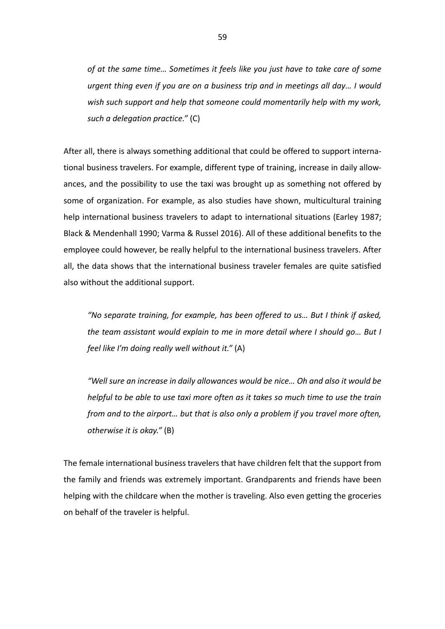*of at the same time… Sometimes it feels like you just have to take care of some urgent thing even if you are on a business trip and in meetings all day… I would wish such support and help that someone could momentarily help with my work, such a delegation practice."* (C)

After all, there is always something additional that could be offered to support international business travelers. For example, different type of training, increase in daily allowances, and the possibility to use the taxi was brought up as something not offered by some of organization. For example, as also studies have shown, multicultural training help international business travelers to adapt to international situations (Earley 1987; Black & Mendenhall 1990; Varma & Russel 2016). All of these additional benefits to the employee could however, be really helpful to the international business travelers. After all, the data shows that the international business traveler females are quite satisfied also without the additional support.

*"No separate training, for example, has been offered to us… But I think if asked, the team assistant would explain to me in more detail where I should go… But I feel like I'm doing really well without it."* (A)

*"Well sure an increase in daily allowances would be nice… Oh and also it would be helpful to be able to use taxi more often as it takes so much time to use the train from and to the airport… but that is also only a problem if you travel more often, otherwise it is okay."* (B)

The female international business travelers that have children felt that the support from the family and friends was extremely important. Grandparents and friends have been helping with the childcare when the mother is traveling. Also even getting the groceries on behalf of the traveler is helpful.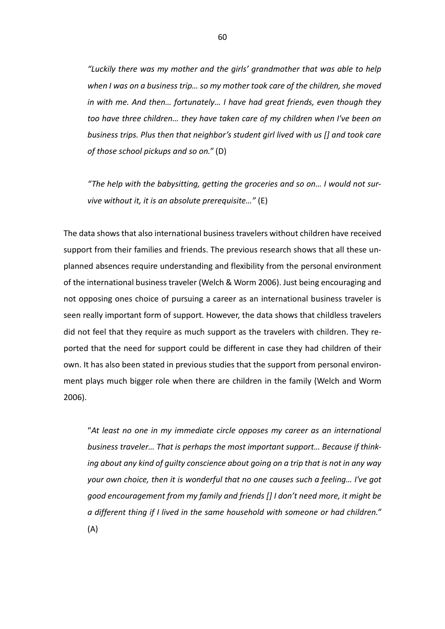*"Luckily there was my mother and the girls' grandmother that was able to help when I was on a business trip… so my mother took care of the children, she moved in with me. And then… fortunately… I have had great friends, even though they too have three children… they have taken care of my children when I've been on business trips. Plus then that neighbor's student girl lived with us [] and took care of those school pickups and so on."* (D)

*"The help with the babysitting, getting the groceries and so on… I would not survive without it, it is an absolute prerequisite…"* (E)

The data shows that also international business travelers without children have received support from their families and friends. The previous research shows that all these unplanned absences require understanding and flexibility from the personal environment of the international business traveler (Welch & Worm 2006). Just being encouraging and not opposing ones choice of pursuing a career as an international business traveler is seen really important form of support. However, the data shows that childless travelers did not feel that they require as much support as the travelers with children. They reported that the need for support could be different in case they had children of their own. It has also been stated in previous studies that the support from personal environment plays much bigger role when there are children in the family (Welch and Worm 2006).

"*At least no one in my immediate circle opposes my career as an international business traveler… That is perhaps the most important support… Because if thinking about any kind of guilty conscience about going on a trip that is not in any way your own choice, then it is wonderful that no one causes such a feeling… I've got good encouragement from my family and friends [] I don't need more, it might be a different thing if I lived in the same household with someone or had children."*  (A)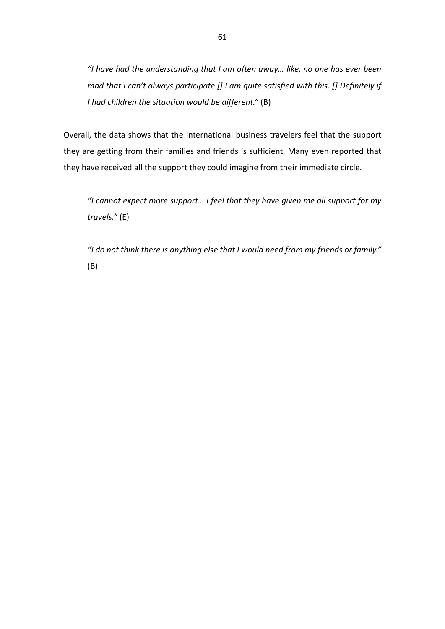*"I have had the understanding that I am often away… like, no one has ever been mad that I can't always participate [] I am quite satisfied with this. [] Definitely if I had children the situation would be different."* (B)

Overall, the data shows that the international business travelers feel that the support they are getting from their families and friends is sufficient. Many even reported that they have received all the support they could imagine from their immediate circle.

*"I cannot expect more support… I feel that they have given me all support for my travels."* (E)

*"I do not think there is anything else that I would need from my friends or family."*  (B)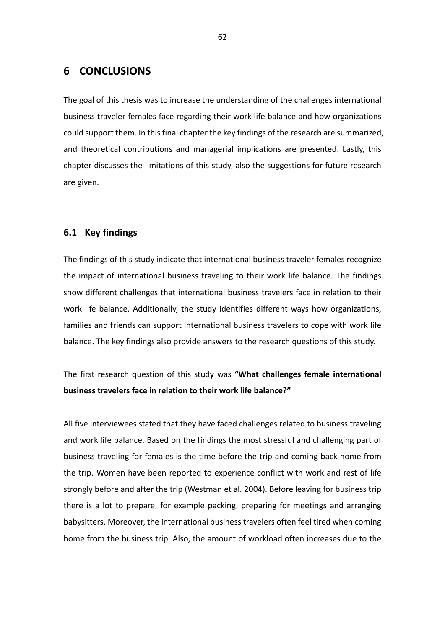# **6 CONCLUSIONS**

The goal of this thesis was to increase the understanding of the challenges international business traveler females face regarding their work life balance and how organizations could support them. In this final chapter the key findings of the research are summarized, and theoretical contributions and managerial implications are presented. Lastly, this chapter discusses the limitations of this study, also the suggestions for future research are given.

## **6.1 Key findings**

The findings of this study indicate that international business traveler females recognize the impact of international business traveling to their work life balance. The findings show different challenges that international business travelers face in relation to their work life balance. Additionally, the study identifies different ways how organizations, families and friends can support international business travelers to cope with work life balance. The key findings also provide answers to the research questions of this study.

The first research question of this study was **"What challenges female international business travelers face in relation to their work life balance?"**

All five interviewees stated that they have faced challenges related to business traveling and work life balance. Based on the findings the most stressful and challenging part of business traveling for females is the time before the trip and coming back home from the trip. Women have been reported to experience conflict with work and rest of life strongly before and after the trip (Westman et al. 2004). Before leaving for business trip there is a lot to prepare, for example packing, preparing for meetings and arranging babysitters. Moreover, the international business travelers often feel tired when coming home from the business trip. Also, the amount of workload often increases due to the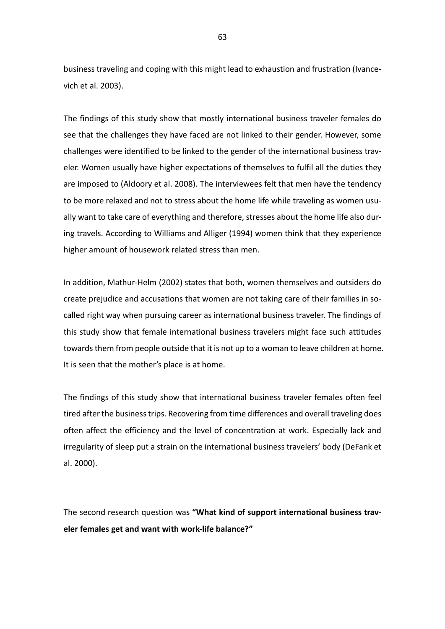business traveling and coping with this might lead to exhaustion and frustration (Ivancevich et al. 2003).

The findings of this study show that mostly international business traveler females do see that the challenges they have faced are not linked to their gender. However, some challenges were identified to be linked to the gender of the international business traveler. Women usually have higher expectations of themselves to fulfil all the duties they are imposed to (Aldoory et al. 2008). The interviewees felt that men have the tendency to be more relaxed and not to stress about the home life while traveling as women usually want to take care of everything and therefore, stresses about the home life also during travels. According to Williams and Alliger (1994) women think that they experience higher amount of housework related stress than men.

In addition, Mathur-Helm (2002) states that both, women themselves and outsiders do create prejudice and accusations that women are not taking care of their families in socalled right way when pursuing career as international business traveler. The findings of this study show that female international business travelers might face such attitudes towards them from people outside that it is not up to a woman to leave children at home. It is seen that the mother's place is at home.

The findings of this study show that international business traveler females often feel tired after the business trips. Recovering from time differences and overall traveling does often affect the efficiency and the level of concentration at work. Especially lack and irregularity of sleep put a strain on the international business travelers' body (DeFank et al. 2000).

The second research question was **"What kind of support international business traveler females get and want with work-life balance?"**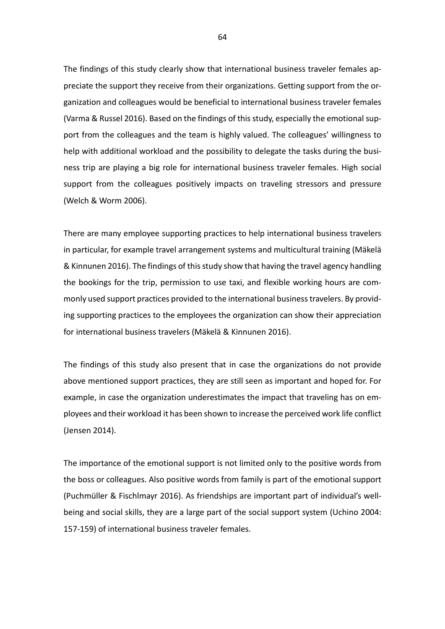The findings of this study clearly show that international business traveler females appreciate the support they receive from their organizations. Getting support from the organization and colleagues would be beneficial to international business traveler females (Varma & Russel 2016). Based on the findings of this study, especially the emotional support from the colleagues and the team is highly valued. The colleagues' willingness to help with additional workload and the possibility to delegate the tasks during the business trip are playing a big role for international business traveler females. High social support from the colleagues positively impacts on traveling stressors and pressure (Welch & Worm 2006).

There are many employee supporting practices to help international business travelers in particular, for example travel arrangement systems and multicultural training (Mäkelä & Kinnunen 2016). The findings of this study show that having the travel agency handling the bookings for the trip, permission to use taxi, and flexible working hours are commonly used support practices provided to the international business travelers. By providing supporting practices to the employees the organization can show their appreciation for international business travelers (Mäkelä & Kinnunen 2016).

The findings of this study also present that in case the organizations do not provide above mentioned support practices, they are still seen as important and hoped for. For example, in case the organization underestimates the impact that traveling has on employees and their workload it has been shown to increase the perceived work life conflict (Jensen 2014).

The importance of the emotional support is not limited only to the positive words from the boss or colleagues. Also positive words from family is part of the emotional support (Puchmüller & Fischlmayr 2016). As friendships are important part of individual's wellbeing and social skills, they are a large part of the social support system (Uchino 2004: 157-159) of international business traveler females.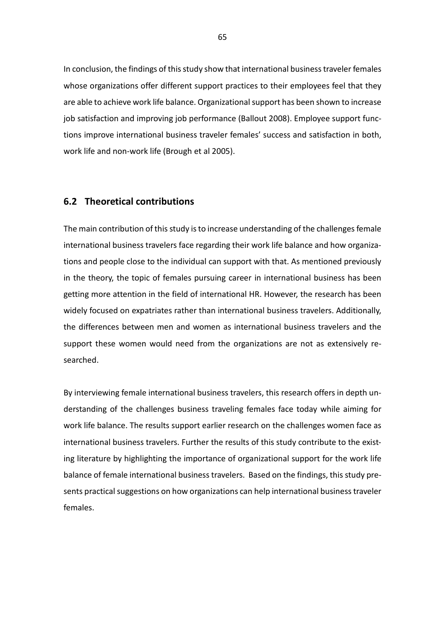In conclusion, the findings of this study show that international business traveler females whose organizations offer different support practices to their employees feel that they are able to achieve work life balance. Organizational support has been shown to increase job satisfaction and improving job performance (Ballout 2008). Employee support functions improve international business traveler females' success and satisfaction in both, work life and non-work life (Brough et al 2005).

## **6.2 Theoretical contributions**

The main contribution of this study is to increase understanding of the challenges female international business travelers face regarding their work life balance and how organizations and people close to the individual can support with that. As mentioned previously in the theory, the topic of females pursuing career in international business has been getting more attention in the field of international HR. However, the research has been widely focused on expatriates rather than international business travelers. Additionally, the differences between men and women as international business travelers and the support these women would need from the organizations are not as extensively researched.

By interviewing female international business travelers, this research offers in depth understanding of the challenges business traveling females face today while aiming for work life balance. The results support earlier research on the challenges women face as international business travelers. Further the results of this study contribute to the existing literature by highlighting the importance of organizational support for the work life balance of female international business travelers. Based on the findings, this study presents practical suggestions on how organizations can help international business traveler females.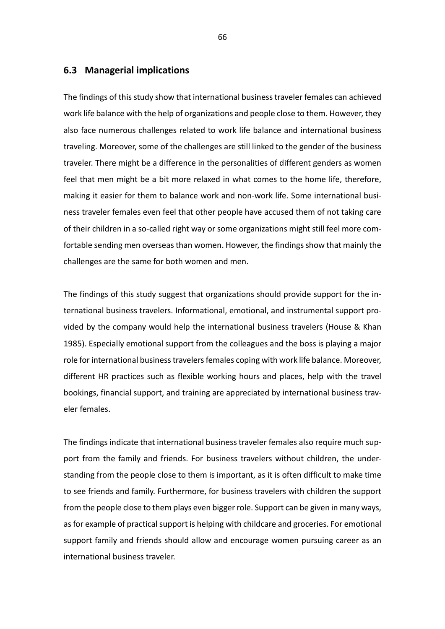## **6.3 Managerial implications**

The findings of this study show that international business traveler females can achieved work life balance with the help of organizations and people close to them. However, they also face numerous challenges related to work life balance and international business traveling. Moreover, some of the challenges are still linked to the gender of the business traveler. There might be a difference in the personalities of different genders as women feel that men might be a bit more relaxed in what comes to the home life, therefore, making it easier for them to balance work and non-work life. Some international business traveler females even feel that other people have accused them of not taking care of their children in a so-called right way or some organizations might still feel more comfortable sending men overseas than women. However, the findings show that mainly the challenges are the same for both women and men.

The findings of this study suggest that organizations should provide support for the international business travelers. Informational, emotional, and instrumental support provided by the company would help the international business travelers (House & Khan 1985). Especially emotional support from the colleagues and the boss is playing a major role for international business travelers females coping with work life balance. Moreover, different HR practices such as flexible working hours and places, help with the travel bookings, financial support, and training are appreciated by international business traveler females.

The findings indicate that international business traveler females also require much support from the family and friends. For business travelers without children, the understanding from the people close to them is important, as it is often difficult to make time to see friends and family. Furthermore, for business travelers with children the support from the people close to them plays even bigger role. Support can be given in many ways, as for example of practical support is helping with childcare and groceries. For emotional support family and friends should allow and encourage women pursuing career as an international business traveler.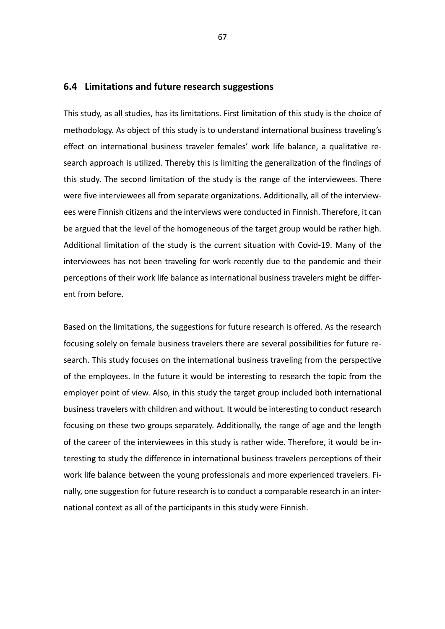#### **6.4 Limitations and future research suggestions**

This study, as all studies, has its limitations. First limitation of this study is the choice of methodology. As object of this study is to understand international business traveling's effect on international business traveler females' work life balance, a qualitative research approach is utilized. Thereby this is limiting the generalization of the findings of this study. The second limitation of the study is the range of the interviewees. There were five interviewees all from separate organizations. Additionally, all of the interviewees were Finnish citizens and the interviews were conducted in Finnish. Therefore, it can be argued that the level of the homogeneous of the target group would be rather high. Additional limitation of the study is the current situation with Covid-19. Many of the interviewees has not been traveling for work recently due to the pandemic and their perceptions of their work life balance as international business travelers might be different from before.

Based on the limitations, the suggestions for future research is offered. As the research focusing solely on female business travelers there are several possibilities for future research. This study focuses on the international business traveling from the perspective of the employees. In the future it would be interesting to research the topic from the employer point of view. Also, in this study the target group included both international business travelers with children and without. It would be interesting to conduct research focusing on these two groups separately. Additionally, the range of age and the length of the career of the interviewees in this study is rather wide. Therefore, it would be interesting to study the difference in international business travelers perceptions of their work life balance between the young professionals and more experienced travelers. Finally, one suggestion for future research is to conduct a comparable research in an international context as all of the participants in this study were Finnish.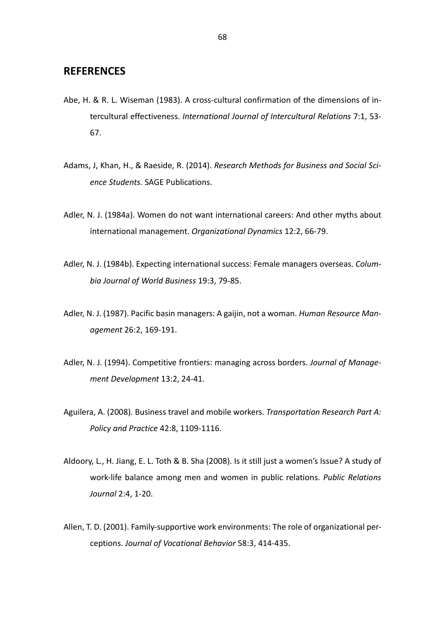## **REFERENCES**

- Abe, H. & R. L. Wiseman (1983). A cross-cultural confirmation of the dimensions of intercultural effectiveness. *International Journal of Intercultural Relations* 7:1, 53- 67.
- Adams, J, Khan, H., & Raeside, R. (2014). *Research Methods for Business and Social Science Students.* SAGE Publications.
- Adler, N. J. (1984a). Women do not want international careers: And other myths about international management. *Organizational Dynamics* 12:2, 66-79.
- Adler, N. J. (1984b). Expecting international success: Female managers overseas. *Columbia Journal of World Business* 19:3, 79-85.
- Adler, N. J. (1987). Pacific basin managers: A gaijin, not a woman. *Human Resource Management* 26:2, 169-191.
- Adler, N. J. (1994). Competitive frontiers: managing across borders. *Journal of Management Development* 13:2, 24-41.
- Aguilera, A. (2008). Business travel and mobile workers. *Transportation Research Part A: Policy and Practice* 42:8, 1109-1116.
- Aldoory, L., H. Jiang, E. L. Toth & B. Sha (2008). Is it still just a women's Issue? A study of work-life balance among men and women in public relations. *Public Relations Journal* 2:4, 1-20.
- Allen, T. D. (2001). Family-supportive work environments: The role of organizational perceptions. *Journal of Vocational Behavior* 58:3, 414-435.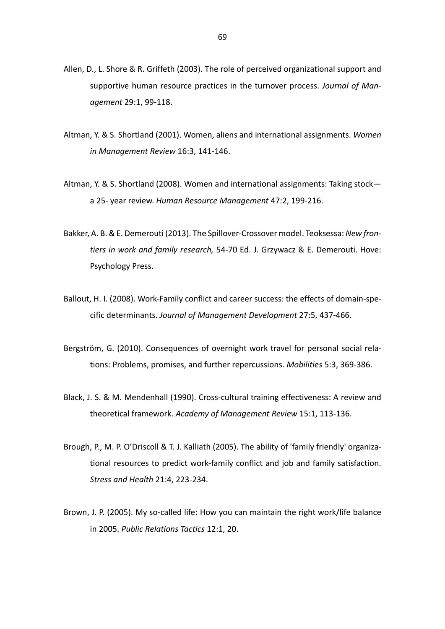- Allen, D., L. Shore & R. Griffeth (2003). The role of perceived organizational support and supportive human resource practices in the turnover process. *Journal of Management* 29:1, 99-118.
- Altman, Y. & S. Shortland (2001). Women, aliens and international assignments. *Women in Management Review* 16:3, 141-146.
- Altman, Y. & S. Shortland (2008). Women and international assignments: Taking stock a 25- year review. *Human Resource Management* 47:2, 199-216.
- Bakker, A. B. & E. Demerouti (2013). The Spillover-Crossover model. Teoksessa: *New frontiers in work and family research,* 54-70 Ed. J. Grzywacz & E. Demerouti. Hove: Psychology Press.
- Ballout, H. I. (2008). Work-Family conflict and career success: the effects of domain-specific determinants. *Journal of Management Development* 27:5, 437-466.
- Bergström, G. (2010). Consequences of overnight work travel for personal social relations: Problems, promises, and further repercussions. *Mobilities* 5:3, 369-386.
- Black, J. S. & M. Mendenhall (1990). Cross-cultural training effectiveness: A review and theoretical framework. *Academy of Management Review* 15:1, 113-136.
- Brough, P., M. P. O'Driscoll & T. J. Kalliath (2005). The ability of 'family friendly' organizational resources to predict work-family conflict and job and family satisfaction. *Stress and Health* 21:4, 223-234.
- Brown, J. P. (2005). My so-called life: How you can maintain the right work/life balance in 2005. *Public Relations Tactics* 12:1, 20.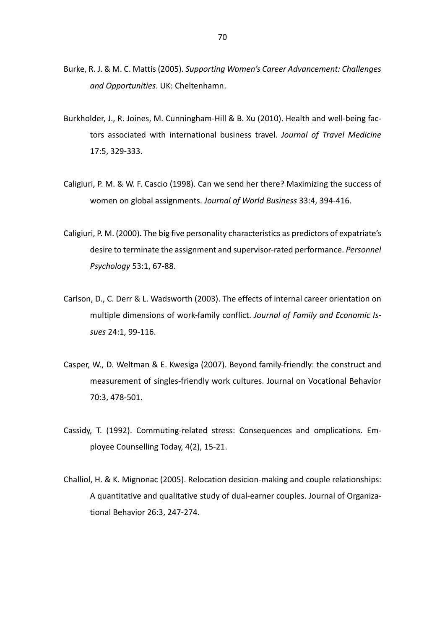- Burke, R. J. & M. C. Mattis (2005). *Supporting Women's Career Advancement: Challenges and Opportunities*. UK: Cheltenhamn.
- Burkholder, J., R. Joines, M. Cunningham-Hill & B. Xu (2010). Health and well-being factors associated with international business travel. *Journal of Travel Medicine*  17:5, 329-333.
- Caligiuri, P. M. & W. F. Cascio (1998). Can we send her there? Maximizing the success of women on global assignments. *Journal of World Business* 33:4, 394-416.
- Caligiuri, P. M. (2000). The big five personality characteristics as predictors of expatriate's desire to terminate the assignment and supervisor-rated performance. *Personnel Psychology* 53:1, 67-88.
- Carlson, D., C. Derr & L. Wadsworth (2003). The effects of internal career orientation on multiple dimensions of work-family conflict. *Journal of Family and Economic Issues* 24:1, 99-116.
- Casper, W., D. Weltman & E. Kwesiga (2007). Beyond family-friendly: the construct and measurement of singles-friendly work cultures. Journal on Vocational Behavior 70:3, 478-501.
- Cassidy, T. (1992). Commuting-related stress: Consequences and omplications. Employee Counselling Today, 4(2), 15-21.
- Challiol, H. & K. Mignonac (2005). Relocation desicion-making and couple relationships: A quantitative and qualitative study of dual-earner couples. Journal of Organizational Behavior 26:3, 247-274.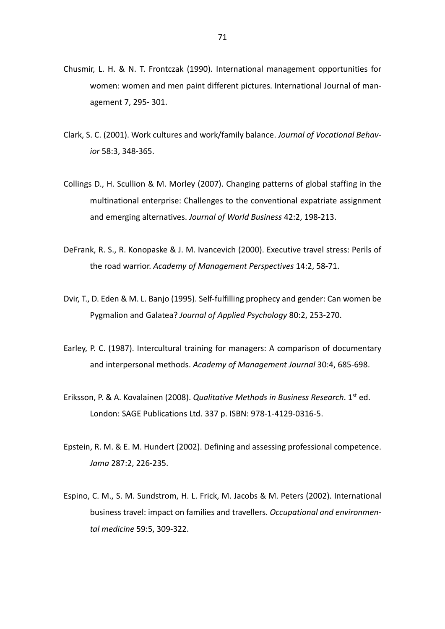- Chusmir, L. H. & N. T. Frontczak (1990). International management opportunities for women: women and men paint different pictures. International Journal of management 7, 295- 301.
- Clark, S. C. (2001). Work cultures and work/family balance. *Journal of Vocational Behavior* 58:3, 348-365.
- Collings D., H. Scullion & M. Morley (2007). Changing patterns of global staffing in the multinational enterprise: Challenges to the conventional expatriate assignment and emerging alternatives. *Journal of World Business* 42:2, 198-213.
- DeFrank, R. S., R. Konopaske & J. M. Ivancevich (2000). Executive travel stress: Perils of the road warrior. *Academy of Management Perspectives* 14:2, 58-71.
- Dvir, T., D. Eden & M. L. Banjo (1995). Self-fulfilling prophecy and gender: Can women be Pygmalion and Galatea? *Journal of Applied Psychology* 80:2, 253-270.
- Earley, P. C. (1987). Intercultural training for managers: A comparison of documentary and interpersonal methods. *Academy of Management Journal* 30:4, 685-698.
- Eriksson, P. & A. Kovalainen (2008). *Qualitative Methods in Business Research*. 1st ed. London: SAGE Publications Ltd. 337 p. ISBN: 978-1-4129-0316-5.
- Epstein, R. M. & E. M. Hundert (2002). Defining and assessing professional competence. *Jama* 287:2, 226-235.
- Espino, C. M., S. M. Sundstrom, H. L. Frick, M. Jacobs & M. Peters (2002). International business travel: impact on families and travellers. *Occupational and environmental medicine* 59:5, 309-322.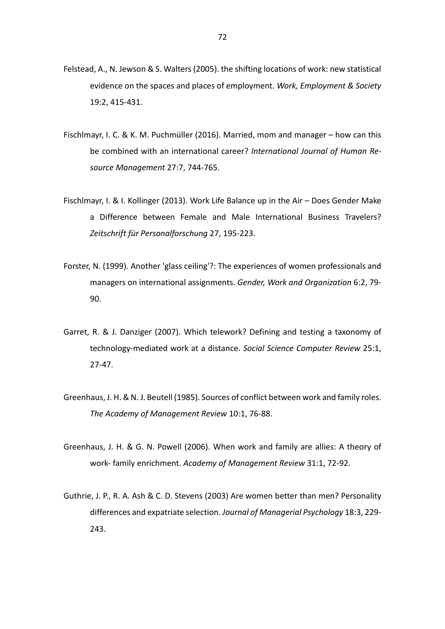- Felstead, A., N. Jewson & S. Walters (2005). the shifting locations of work: new statistical evidence on the spaces and places of employment. *Work, Employment & Society*  19:2, 415-431.
- Fischlmayr, I. C. & K. M. Puchmüller (2016). Married, mom and manager how can this be combined with an international career? *International Journal of Human Resource Management* 27:7, 744-765.
- Fischlmayr, I. & I. Kollinger (2013). Work Life Balance up in the Air Does Gender Make a Difference between Female and Male International Business Travelers? *Zeitschrift für Personalforschung* 27, 195-223.
- Forster, N. (1999). Another 'glass ceiling'?: The experiences of women professionals and managers on international assignments. *Gender, Work and Organization* 6:2, 79- 90.
- Garret, R. & J. Danziger (2007). Which telework? Defining and testing a taxonomy of technology-mediated work at a distance. *Social Science Computer Review* 25:1, 27-47.
- Greenhaus, J. H. & N. J. Beutell (1985). Sources of conflict between work and family roles. *The Academy of Management Review* 10:1, 76-88.
- Greenhaus, J. H. & G. N. Powell (2006). When work and family are allies: A theory of work- family enrichment. *Academy of Management Review* 31:1, 72-92.
- Guthrie, J. P., R. A. Ash & C. D. Stevens (2003) Are women better than men? Personality differences and expatriate selection. *Journal of Managerial Psychology* 18:3, 229- 243.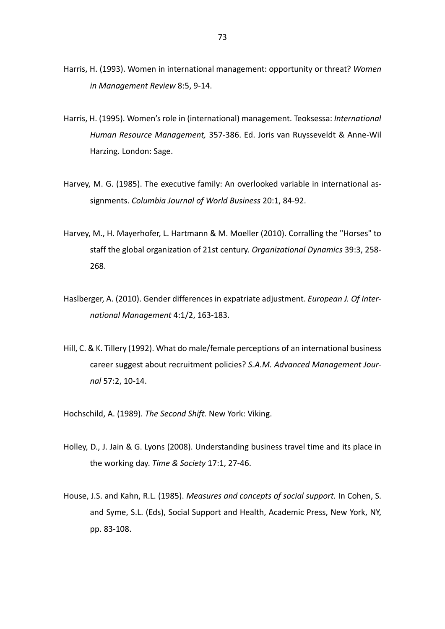- Harris, H. (1993). Women in international management: opportunity or threat? *Women in Management Review* 8:5, 9-14.
- Harris, H. (1995). Women's role in (international) management. Teoksessa: *International Human Resource Management,* 357-386. Ed. Joris van Ruysseveldt & Anne-Wil Harzing. London: Sage.
- Harvey, M. G. (1985). The executive family: An overlooked variable in international assignments. *Columbia Journal of World Business* 20:1, 84-92.
- Harvey, M., H. Mayerhofer, L. Hartmann & M. Moeller (2010). Corralling the "Horses" to staff the global organization of 21st century. *Organizational Dynamics* 39:3, 258- 268.
- Haslberger, A. (2010). Gender differences in expatriate adjustment. *European J. Of International Management* 4:1/2, 163-183.
- Hill, C. & K. Tillery (1992). What do male/female perceptions of an international business career suggest about recruitment policies? *S.A.M. Advanced Management Journal* 57:2, 10-14.
- Hochschild, A. (1989). *The Second Shift.* New York: Viking.
- Holley, D., J. Jain & G. Lyons (2008). Understanding business travel time and its place in the working day. *Time & Society* 17:1, 27-46.
- House, J.S. and Kahn, R.L. (1985). *Measures and concepts of social support.* In Cohen, S. and Syme, S.L. (Eds), Social Support and Health, Academic Press, New York, NY, pp. 83-108.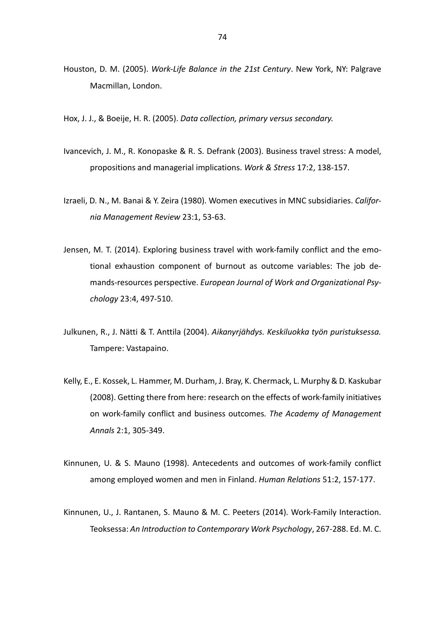- Houston, D. M. (2005). *Work-Life Balance in the 21st Century*. New York, NY: Palgrave Macmillan, London.
- Hox, J. J., & Boeije, H. R. (2005). *Data collection, primary versus secondary.*
- Ivancevich, J. M., R. Konopaske & R. S. Defrank (2003). Business travel stress: A model, propositions and managerial implications. *Work & Stress* 17:2, 138-157.
- Izraeli, D. N., M. Banai & Y. Zeira (1980). Women executives in MNC subsidiaries. *California Management Review* 23:1, 53-63.
- Jensen, M. T. (2014). Exploring business travel with work-family conflict and the emotional exhaustion component of burnout as outcome variables: The job demands-resources perspective. *European Journal of Work and Organizational Psychology* 23:4, 497-510.
- Julkunen, R., J. Nätti & T. Anttila (2004). *Aikanyrjähdys. Keskiluokka työn puristuksessa.*  Tampere: Vastapaino.
- Kelly, E., E. Kossek, L. Hammer, M. Durham, J. Bray, K. Chermack, L. Murphy & D. Kaskubar (2008). Getting there from here: research on the effects of work-family initiatives on work-family conflict and business outcomes*. The Academy of Management Annals* 2:1, 305-349.
- Kinnunen, U. & S. Mauno (1998). Antecedents and outcomes of work-family conflict among employed women and men in Finland. *Human Relations* 51:2, 157-177.
- Kinnunen, U., J. Rantanen, S. Mauno & M. C. Peeters (2014). Work-Family Interaction. Teoksessa: *An Introduction to Contemporary Work Psychology*, 267-288. Ed. M. C.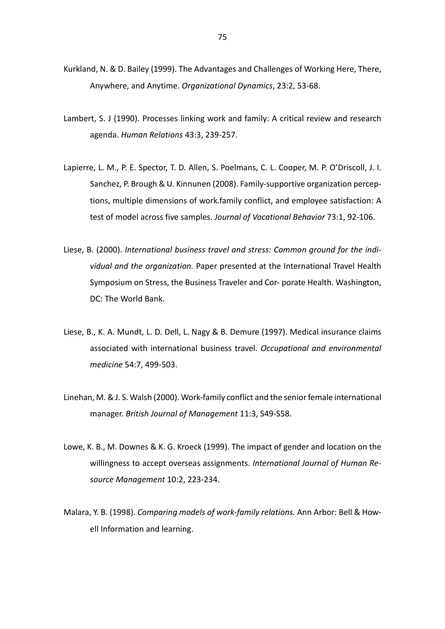- Kurkland, N. & D. Bailey (1999). The Advantages and Challenges of Working Here, There, Anywhere, and Anytime. *Organizational Dynamics*, 23:2, 53-68.
- Lambert, S. J (1990). Processes linking work and family: A critical review and research agenda. *Human Relations* 43:3, 239-257.
- Lapierre, L. M., P. E. Spector, T. D. Allen, S. Poelmans, C. L. Cooper, M. P. O'Driscoll, J. I. Sanchez, P. Brough & U. Kinnunen (2008). Family-supportive organization perceptions, multiple dimensions of work.family conflict, and employee satisfaction: A test of model across five samples. *Journal of Vocational Behavior* 73:1, 92-106.
- Liese, B. (2000). *International business travel and stress: Common ground for the individual and the organization.* Paper presented at the International Travel Health Symposium on Stress, the Business Traveler and Cor- porate Health. Washington, DC: The World Bank.
- Liese, B., K. A. Mundt, L. D. Dell, L. Nagy & B. Demure (1997). Medical insurance claims associated with international business travel. *Occupational and environmental medicine* 54:7, 499-503.
- Linehan, M. & J. S. Walsh (2000). Work-family conflict and the senior female international manager. *British Journal of Management* 11:3, S49-S58.
- Lowe, K. B., M. Downes & K. G. Kroeck (1999). The impact of gender and location on the willingness to accept overseas assignments. *International Journal of Human Resource Management* 10:2, 223-234.
- Malara, Y. B. (1998). *Comparing models of work-family relations.* Ann Arbor: Bell & Howell Information and learning.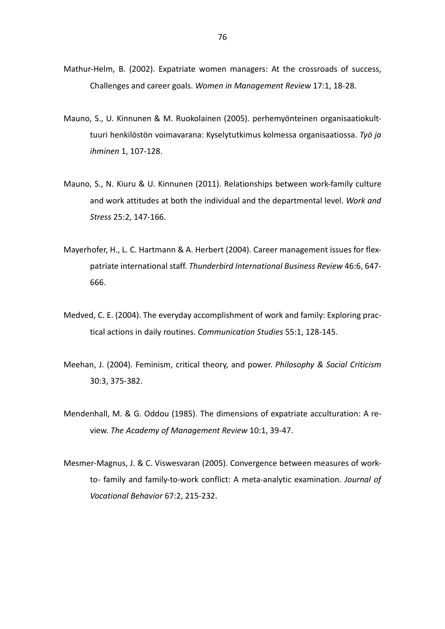- Mathur-Helm, B. (2002). Expatriate women managers: At the crossroads of success, Challenges and career goals. *Women in Management Review* 17:1, 18-28.
- Mauno, S., U. Kinnunen & M. Ruokolainen (2005). perhemyönteinen organisaatiokulttuuri henkilöstön voimavarana: Kyselytutkimus kolmessa organisaatiossa. *Työ ja ihminen* 1, 107-128.
- Mauno, S., N. Kiuru & U. Kinnunen (2011). Relationships between work-family culture and work attitudes at both the individual and the departmental level. *Work and Stress* 25:2, 147-166.
- Mayerhofer, H., L. C. Hartmann & A. Herbert (2004). Career management issues for flexpatriate international staff. *Thunderbird International Business Review* 46:6, 647- 666.
- Medved, C. E. (2004). The everyday accomplishment of work and family: Exploring practical actions in daily routines. *Communication Studies* 55:1, 128-145.
- Meehan, J. (2004). Feminism, critical theory, and power. *Philosophy & Social Criticism*  30:3, 375-382.
- Mendenhall, M. & G. Oddou (1985). The dimensions of expatriate acculturation: A review. *The Academy of Management Review* 10:1, 39-47.
- Mesmer-Magnus, J. & C. Viswesvaran (2005). Convergence between measures of workto- family and family-to-work conflict: A meta-analytic examination. *Journal of Vocational Behavior* 67:2, 215-232.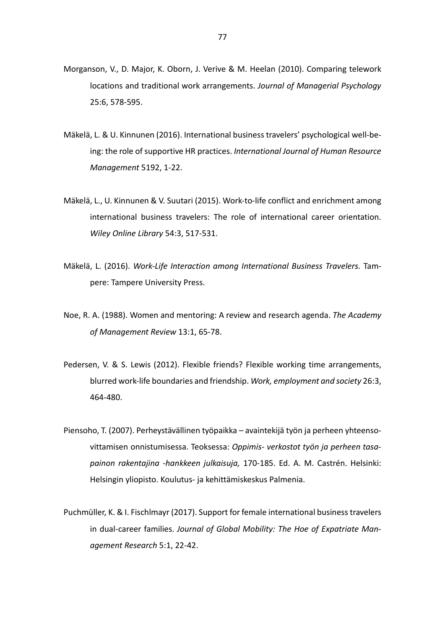- Morganson, V., D. Major, K. Oborn, J. Verive & M. Heelan (2010). Comparing telework locations and traditional work arrangements. *Journal of Managerial Psychology*  25:6, 578-595.
- Mäkelä, L. & U. Kinnunen (2016). International business travelers' psychological well-being: the role of supportive HR practices. *International Journal of Human Resource Management* 5192, 1-22.
- Mäkelä, L., U. Kinnunen & V. Suutari (2015). Work-to-life conflict and enrichment among international business travelers: The role of international career orientation. *Wiley Online Library* 54:3, 517-531.
- Mäkelä, L. (2016). *Work-Life Interaction among International Business Travelers.* Tampere: Tampere University Press.
- Noe, R. A. (1988). Women and mentoring: A review and research agenda. *The Academy of Management Review* 13:1, 65-78.
- Pedersen, V. & S. Lewis (2012). Flexible friends? Flexible working time arrangements, blurred work-life boundaries and friendship. *Work, employment and society* 26:3, 464-480.
- Piensoho, T. (2007). Perheystävällinen työpaikka avaintekijä työn ja perheen yhteensovittamisen onnistumisessa. Teoksessa: *Oppimis- verkostot työn ja perheen tasapainon rakentajina -hankkeen julkaisuja,* 170-185. Ed. A. M. Castrén. Helsinki: Helsingin yliopisto. Koulutus- ja kehittämiskeskus Palmenia.
- Puchmüller, K. & I. Fischlmayr (2017). Support for female international business travelers in dual-career families. *Journal of Global Mobility: The Hoe of Expatriate Management Research* 5:1, 22-42.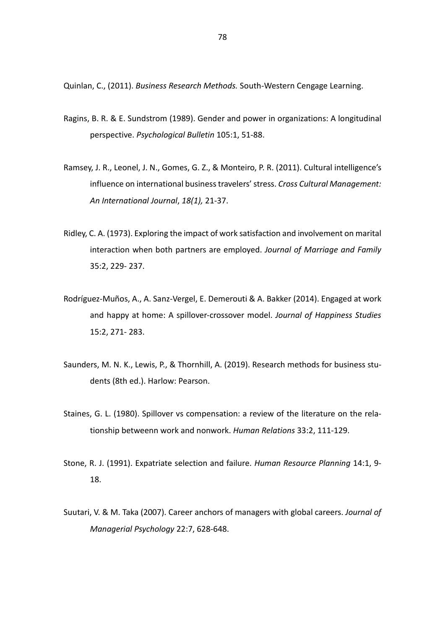Quinlan, C., (2011). *Business Research Methods.* South-Western Cengage Learning.

- Ragins, B. R. & E. Sundstrom (1989). Gender and power in organizations: A longitudinal perspective. *Psychological Bulletin* 105:1, 51-88.
- Ramsey, J. R., Leonel, J. N., Gomes, G. Z., & Monteiro, P. R. (2011). Cultural intelligence's influence on international business travelers' stress. *Cross Cultural Management: An International Journal*, *18(1),* 21-37.
- Ridley, C. A. (1973). Exploring the impact of work satisfaction and involvement on marital interaction when both partners are employed. *Journal of Marriage and Family*  35:2, 229- 237.
- Rodríguez-Muños, A., A. Sanz-Vergel, E. Demerouti & A. Bakker (2014). Engaged at work and happy at home: A spillover-crossover model. *Journal of Happiness Studies*  15:2, 271- 283.
- Saunders, M. N. K., Lewis, P., & Thornhill, A. (2019). Research methods for business students (8th ed.). Harlow: Pearson.
- Staines, G. L. (1980). Spillover vs compensation: a review of the literature on the relationship betweenn work and nonwork. *Human Relations* 33:2, 111-129.
- Stone, R. J. (1991). Expatriate selection and failure. *Human Resource Planning* 14:1, 9- 18.
- Suutari, V. & M. Taka (2007). Career anchors of managers with global careers. *Journal of Managerial Psychology* 22:7, 628-648.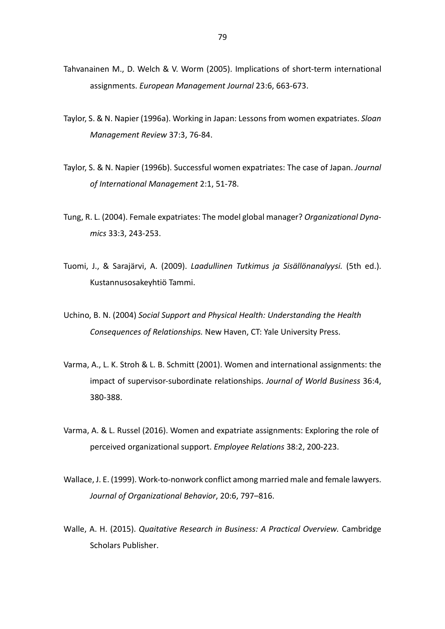- Tahvanainen M., D. Welch & V. Worm (2005). Implications of short-term international assignments. *European Management Journal* 23:6, 663-673.
- Taylor, S. & N. Napier (1996a). Working in Japan: Lessons from women expatriates. *Sloan Management Review* 37:3, 76-84.
- Taylor, S. & N. Napier (1996b). Successful women expatriates: The case of Japan. *Journal of International Management* 2:1, 51-78.
- Tung, R. L. (2004). Female expatriates: The model global manager? *Organizational Dynamics* 33:3, 243-253.
- Tuomi, J., & Sarajärvi, A. (2009). *Laadullinen Tutkimus ja Sisällönanalyysi.* (5th ed.). Kustannusosakeyhtiö Tammi.
- Uchino, B. N. (2004) *Social Support and Physical Health: Understanding the Health Consequences of Relationships.* New Haven, CT: Yale University Press.
- Varma, A., L. K. Stroh & L. B. Schmitt (2001). Women and international assignments: the impact of supervisor-subordinate relationships. *Journal of World Business* 36:4, 380-388.
- Varma, A. & L. Russel (2016). Women and expatriate assignments: Exploring the role of perceived organizational support. *Employee Relations* 38:2, 200-223.
- Wallace, J. E. (1999). Work-to-nonwork conflict among married male and female lawyers. *Journal of Organizational Behavior*, 20:6, 797–816.
- Walle, A. H. (2015). *Quaitative Research in Business: A Practical Overview.* Cambridge Scholars Publisher.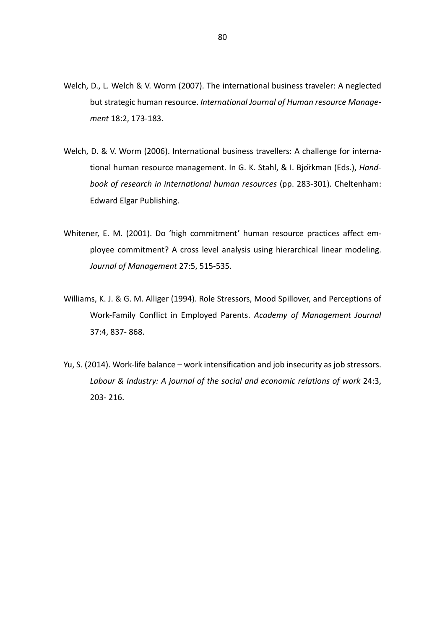- Welch, D., L. Welch & V. Worm (2007). The international business traveler: A neglected but strategic human resource. *International Journal of Human resource Management* 18:2, 173-183.
- Welch, D. & V. Worm (2006). International business travellers: A challenge for international human resource management. In G. K. Stahl, & I. Björkman (Eds.), *Handbook of research in international human resources* (pp. 283-301). Cheltenham: Edward Elgar Publishing.
- Whitener, E. M. (2001). Do 'high commitment' human resource practices affect employee commitment? A cross level analysis using hierarchical linear modeling. *Journal of Management* 27:5, 515-535.
- Williams, K. J. & G. M. Alliger (1994). Role Stressors, Mood Spillover, and Perceptions of Work-Family Conflict in Employed Parents. *Academy of Management Journal*  37:4, 837- 868.
- Yu, S. (2014). Work-life balance work intensification and job insecurity as job stressors. Labour & Industry: A journal of the social and economic relations of work 24:3, 203- 216.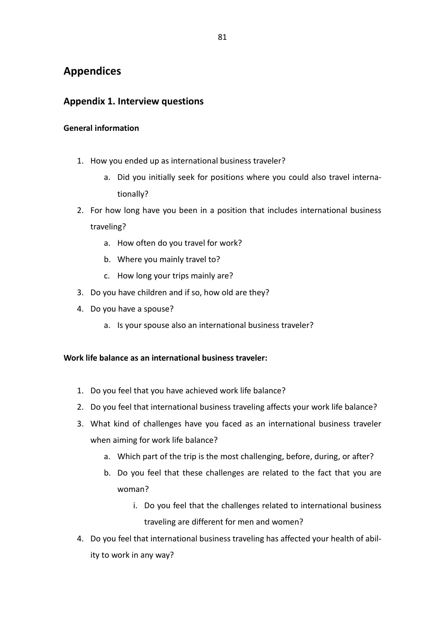# **Appendices**

## **Appendix 1. Interview questions**

### **General information**

- 1. How you ended up as international business traveler?
	- a. Did you initially seek for positions where you could also travel internationally?
- 2. For how long have you been in a position that includes international business traveling?
	- a. How often do you travel for work?
	- b. Where you mainly travel to?
	- c. How long your trips mainly are?
- 3. Do you have children and if so, how old are they?
- 4. Do you have a spouse?
	- a. Is your spouse also an international business traveler?

### **Work life balance as an international business traveler:**

- 1. Do you feel that you have achieved work life balance?
- 2. Do you feel that international business traveling affects your work life balance?
- 3. What kind of challenges have you faced as an international business traveler when aiming for work life balance?
	- a. Which part of the trip is the most challenging, before, during, or after?
	- b. Do you feel that these challenges are related to the fact that you are woman?
		- i. Do you feel that the challenges related to international business traveling are different for men and women?
- 4. Do you feel that international business traveling has affected your health of ability to work in any way?